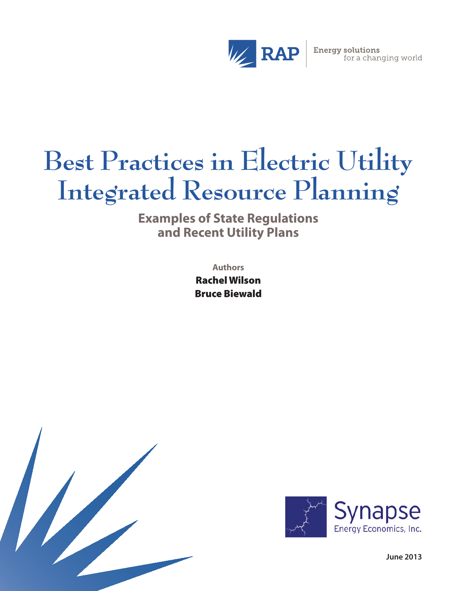

# **Best Practices in Electric Utility Integrated Resource Planning**

**Examples of State Regulations and Recent Utility Plans**

> **Authors** Rachel Wilson Bruce Biewald





**June 2013**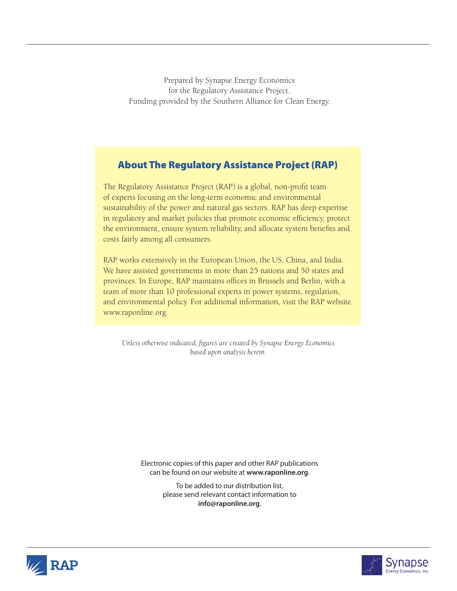Prepared by Synapse Energy Economics for the Regulatory Assistance Project. Funding provided by the Southern Alliance for Clean Energy.

# About The Regulatory Assistance Project (RAP)

The Regulatory Assistance Project (RAP) is a global, non-profit team of experts focusing on the long-term economic and environmental sustainability of the power and natural gas sectors. RAP has deep expertise in regulatory and market policies that promote economic efficiency, protect the environment, ensure system reliability, and allocate system benefits and costs fairly among all consumers.

RAP works extensively in the European Union, the US, China, and India. We have assisted governments in more than 25 nations and 50 states and provinces. In Europe, RAP maintains offices in Brussels and Berlin, with a team of more than 10 professional experts in power systems, regulation, and environmental policy. For additional information, visit the RAP website www.raponline.org.

*Unless otherwise indicated, figures are created by Synapse Energy Economics based upon analysis herein.*

Electronic copies of this paper and other RAP publications can be found on our website at **www.raponline.org**.

> To be added to our distribution list, please send relevant contact information to **info@raponline.org**.



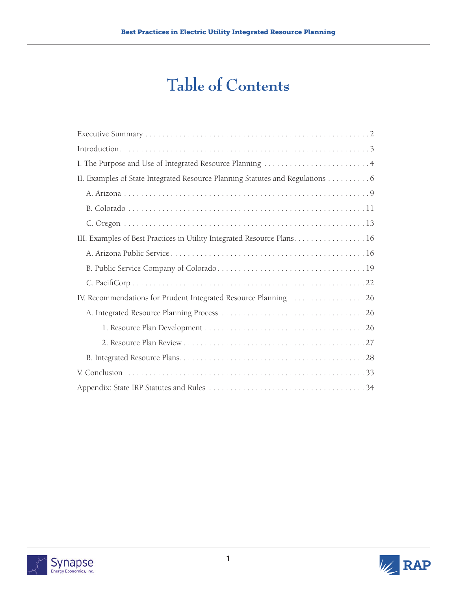# **Table of Contents**

| II. Examples of State Integrated Resource Planning Statutes and Regulations 6 |
|-------------------------------------------------------------------------------|
|                                                                               |
|                                                                               |
|                                                                               |
| III. Examples of Best Practices in Utility Integrated Resource Plans. 16      |
|                                                                               |
|                                                                               |
|                                                                               |
| IV. Recommendations for Prudent Integrated Resource Planning 26               |
|                                                                               |
|                                                                               |
|                                                                               |
|                                                                               |
|                                                                               |
|                                                                               |



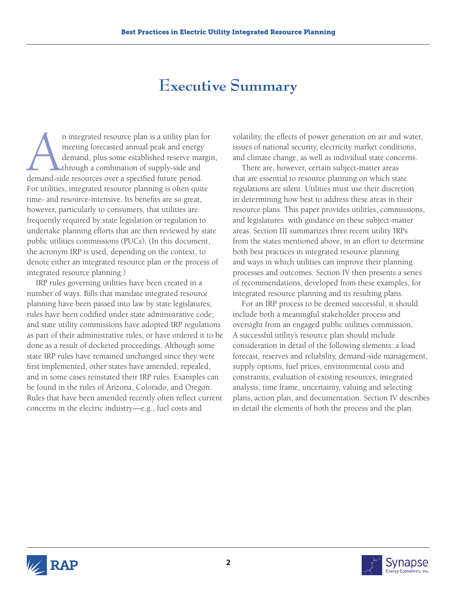# **Executive Summary**

n integrated resource plan is a utility plan for meeting forecasted annual peak and energy demand, plus some established reserve margin through a combination of supply-side and demand-side resources over a specified future meeting forecasted annual peak and energy demand, plus some established reserve margin, through a combination of supply-side and For utilities, integrated resource planning is often quite time- and resource-intensive. Its benefits are so great, however, particularly to consumers, that utilities are frequently required by state legislation or regulation to undertake planning efforts that are then reviewed by state public utilities commissions (PUCs). (In this document, the acronym IRP is used, depending on the context, to denote either an integrated resource plan or the process of integrated resource planning.)

IRP rules governing utilities have been created in a number of ways. Bills that mandate integrated resource planning have been passed into law by state legislatures; rules have been codified under state administrative code; and state utility commissions have adopted IRP regulations as part of their administrative rules, or have ordered it to be done as a result of docketed proceedings. Although some state IRP rules have remained unchanged since they were first implemented, other states have amended, repealed, and in some cases reinstated their IRP rules. Examples can be found in the rules of Arizona, Colorado, and Oregon. Rules that have been amended recently often reflect current concerns in the electric industry—e.g., fuel costs and

volatility, the effects of power generation on air and water, issues of national security, electricity market conditions, and climate change, as well as individual state concerns.

There are, however, certain subject-matter areas that are essential to resource planning on which state regulations are silent. Utilities must use their discretion in determining how best to address these areas in their resource plans. This paper provides utilities, commissions, and legislatures with guidance on these subject-matter areas. Section III summarizes three recent utility IRPs from the states mentioned above, in an effort to determine both best practices in integrated resource planning and ways in which utilities can improve their planning processes and outcomes. Section IV then presents a series of recommendations, developed from these examples, for integrated resource planning and its resulting plans.

For an IRP process to be deemed successful, it should include both a meaningful stakeholder process and oversight from an engaged public utilities commission. A successful utility's resource plan should include consideration in detail of the following elements: a load forecast, reserves and reliability, demand-side management, supply options, fuel prices, environmental costs and constraints, evaluation of existing resources, integrated analysis, time frame, uncertainty, valuing and selecting plans, action plan, and documentation. Section IV describes in detail the elements of both the process and the plan.



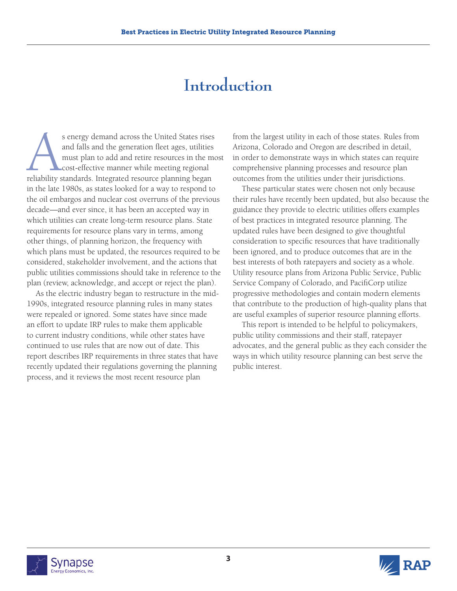# **Introduction**

s energy demand across the United States rises<br>and falls and the generation fleet ages, utilities<br>must plan to add and retire resources in the mc<br>cost-effective manner while meeting regional<br>reliability standards. Integrat and falls and the generation fleet ages, utilities must plan to add and retire resources in the most cost-effective manner while meeting regional reliability standards. Integrated resource planning began in the late 1980s, as states looked for a way to respond to the oil embargos and nuclear cost overruns of the previous decade—and ever since, it has been an accepted way in which utilities can create long-term resource plans. State requirements for resource plans vary in terms, among other things, of planning horizon, the frequency with which plans must be updated, the resources required to be considered, stakeholder involvement, and the actions that public utilities commissions should take in reference to the plan (review, acknowledge, and accept or reject the plan).

As the electric industry began to restructure in the mid-1990s, integrated resource planning rules in many states were repealed or ignored. Some states have since made an effort to update IRP rules to make them applicable to current industry conditions, while other states have continued to use rules that are now out of date. This report describes IRP requirements in three states that have recently updated their regulations governing the planning process, and it reviews the most recent resource plan

from the largest utility in each of those states. Rules from Arizona, Colorado and Oregon are described in detail, in order to demonstrate ways in which states can require comprehensive planning processes and resource plan outcomes from the utilities under their jurisdictions.

These particular states were chosen not only because their rules have recently been updated, but also because the guidance they provide to electric utilities offers examples of best practices in integrated resource planning. The updated rules have been designed to give thoughtful consideration to specific resources that have traditionally been ignored, and to produce outcomes that are in the best interests of both ratepayers and society as a whole. Utility resource plans from Arizona Public Service, Public Service Company of Colorado, and PacifiCorp utilize progressive methodologies and contain modern elements that contribute to the production of high-quality plans that are useful examples of superior resource planning efforts.

This report is intended to be helpful to policymakers, public utility commissions and their staff, ratepayer advocates, and the general public as they each consider the ways in which utility resource planning can best serve the public interest.



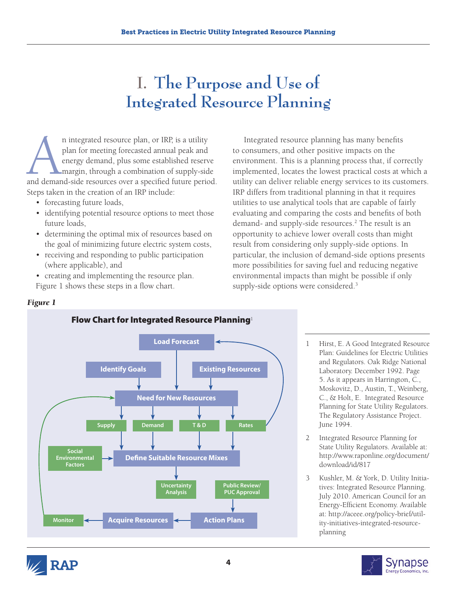# **I. The Purpose and Use of Integrated Resource Planning**

n integrated resource plan, or IRP, is a utility plan for meeting forecasted annual peak and energy demand, plus some established reserve margin, through a combination of supply-side and demand-side resources over a specif plan for meeting forecasted annual peak and energy demand, plus some established reserve margin, through a combination of supply-side Steps taken in the creation of an IRP include:

- forecasting future loads,
- identifying potential resource options to meet those future loads,
- determining the optimal mix of resources based on the goal of minimizing future electric system costs,
- receiving and responding to public participation (where applicable), and
- creating and implementing the resource plan.

Figure 1 shows these steps in a flow chart.

 Integrated resource planning has many benefits to consumers, and other positive impacts on the environment. This is a planning process that, if correctly implemented, locates the lowest practical costs at which a utility can deliver reliable energy services to its customers. IRP differs from traditional planning in that it requires utilities to use analytical tools that are capable of fairly evaluating and comparing the costs and benefits of both demand- and supply-side resources.<sup>2</sup> The result is an opportunity to achieve lower overall costs than might result from considering only supply-side options. In particular, the inclusion of demand-side options presents more possibilities for saving fuel and reducing negative environmental impacts than might be possible if only supply-side options were considered.<sup>3</sup>

# *Figure 1*

RAP



- 1 Hirst, E. A Good Integrated Resource Plan: Guidelines for Electric Utilities and Regulators. Oak Ridge National Laboratory. December 1992. Page 5. As it appears in Harrington, C., Moskovitz, D., Austin, T., Weinberg, C., & Holt, E. Integrated Resource Planning for State Utility Regulators. The Regulatory Assistance Project. June 1994.
- 2 Integrated Resource Planning for State Utility Regulators. Available at: [http://www.raponline.org/document/](http://www.raponline.org/document/download/id/817) [download/id/817](http://www.raponline.org/document/download/id/817)
- 3 Kushler, M. & York, D. Utility Initiatives: Integrated Resource Planning. July 2010. American Council for an Energy-Efficient Economy. Available at: [http://aceee.org/policy-brief/util](http://aceee.org/policy-brief/utility-initiatives-integrated-resource-planning)[ity-initiatives-integrated-resource](http://aceee.org/policy-brief/utility-initiatives-integrated-resource-planning)[planning](http://aceee.org/policy-brief/utility-initiatives-integrated-resource-planning)

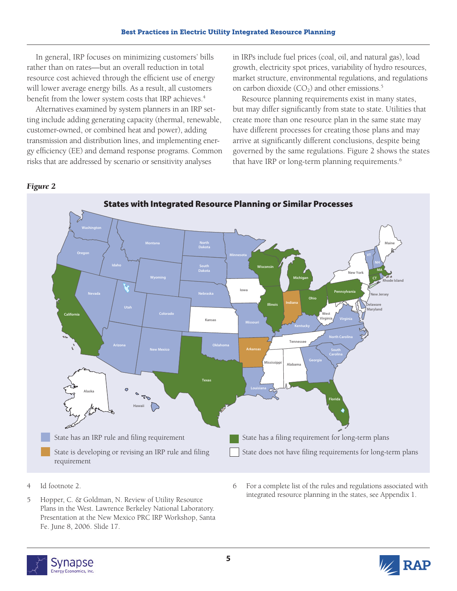In general, IRP focuses on minimizing customers' bills rather than on rates—but an overall reduction in total resource cost achieved through the efficient use of energy will lower average energy bills. As a result, all customers benefit from the lower system costs that IRP achieves.<sup>4</sup>

Alternatives examined by system planners in an IRP setting include adding generating capacity (thermal, renewable, customer-owned, or combined heat and power), adding transmission and distribution lines, and implementing energy efficiency (EE) and demand response programs. Common risks that are addressed by scenario or sensitivity analyses

in IRPs include fuel prices (coal, oil, and natural gas), load growth, electricity spot prices, variability of hydro resources, market structure, environmental regulations, and regulations on carbon dioxide  $(CO<sub>2</sub>)$  and other emissions.<sup>5</sup>

Resource planning requirements exist in many states, but may differ significantly from state to state. Utilities that create more than one resource plan in the same state may have different processes for creating those plans and may arrive at significantly different conclusions, despite being governed by the same regulations. Figure 2 shows the states that have IRP or long-term planning requirements.<sup>6</sup>

*Figure 2*



- 4 Id footnote 2.
- 5 Hopper, C. & Goldman, N. Review of Utility Resource Plans in the West. Lawrence Berkeley National Laboratory. Presentation at the New Mexico PRC IRP Workshop, Santa Fe. June 8, 2006. Slide 17.
- 6 For a complete list of the rules and regulations associated with integrated resource planning in the states, see Appendix 1.



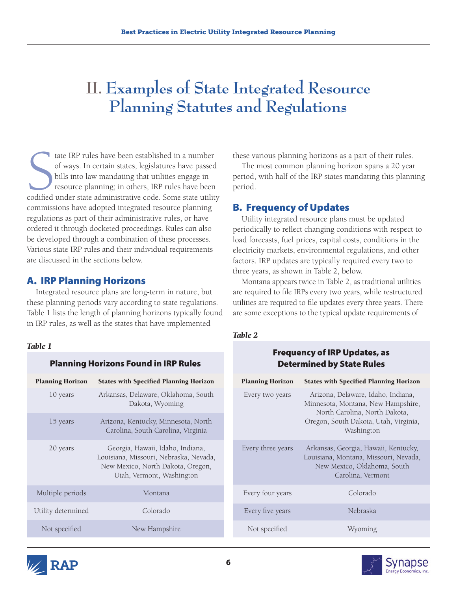# **II. Examples of State Integrated Resource Planning Statutes and Regulations**

tate IRP rules have been established in a number<br>of ways. In certain states, legislatures have passed<br>bills into law mandating that utilities engage in<br>resource planning; in others, IRP rules have been<br>codified under state tate IRP rules have been established in a number of ways. In certain states, legislatures have passed bills into law mandating that utilities engage in resource planning; in others, IRP rules have been commissions have adopted integrated resource planning regulations as part of their administrative rules, or have ordered it through docketed proceedings. Rules can also be developed through a combination of these processes. Various state IRP rules and their individual requirements are discussed in the sections below.

# A. IRP Planning Horizons

Integrated resource plans are long-term in nature, but these planning periods vary according to state regulations. Table 1 lists the length of planning horizons typically found in IRP rules, as well as the states that have implemented

### *Table 1*

### Planning Horizons Found in IRP Rules

| <b>Planning Horizon</b> | <b>States with Specified Planning Horizon</b>                                                                                                |
|-------------------------|----------------------------------------------------------------------------------------------------------------------------------------------|
| 10 years                | Arkansas, Delaware, Oklahoma, South<br>Dakota, Wyoming                                                                                       |
| 15 years                | Arizona, Kentucky, Minnesota, North<br>Carolina, South Carolina, Virginia                                                                    |
| 20 years                | Georgia, Hawaii, Idaho, Indiana,<br>Louisiana, Missouri, Nebraska, Nevada,<br>New Mexico, North Dakota, Oregon,<br>Utah, Vermont, Washington |
| Multiple periods        | Montana                                                                                                                                      |
| Utility determined      | Colorado                                                                                                                                     |
| Not specified           | New Hampshire                                                                                                                                |
|                         |                                                                                                                                              |

these various planning horizons as a part of their rules.

The most common planning horizon spans a 20 year period, with half of the IRP states mandating this planning period.

# B. Frequency of Updates

Utility integrated resource plans must be updated periodically to reflect changing conditions with respect to load forecasts, fuel prices, capital costs, conditions in the electricity markets, environmental regulations, and other factors. IRP updates are typically required every two to three years, as shown in Table 2, below.

Montana appears twice in Table 2, as traditional utilities are required to file IRPs every two years, while restructured utilities are required to file updates every three years. There are some exceptions to the typical update requirements of

### *Table 2*

# Frequency of IRP Updates, as Determined by State Rules

| <b>Planning Horizon</b> | <b>States with Specified Planning Horizon</b>                                                                                                                    |
|-------------------------|------------------------------------------------------------------------------------------------------------------------------------------------------------------|
| Every two years         | Arizona, Delaware, Idaho, Indiana,<br>Minnesota, Montana, New Hampshire,<br>North Carolina, North Dakota,<br>Oregon, South Dakota, Utah, Virginia,<br>Washington |
| Every three years       | Arkansas, Georgia, Hawaii, Kentucky,<br>Louisiana, Montana, Missouri, Nevada,<br>New Mexico, Oklahoma, South<br>Carolina, Vermont                                |
| Every four years        | Colorado                                                                                                                                                         |
| Every five years        | Nebraska                                                                                                                                                         |
| Not specified           | Wyoming                                                                                                                                                          |



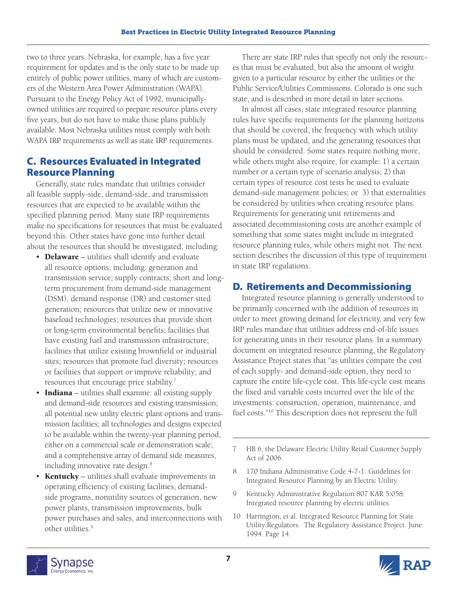two to three years. Nebraska, for example, has a five year requirement for updates and is the only state to be made up entirely of public power utilities, many of which are customers of the Western Area Power Administration (WAPA). Pursuant to the Energy Policy Act of 1992, municipallyowned utilities are required to prepare resource plans every five years, but do not have to make those plans publicly available. Most Nebraska utilities must comply with both WAPA IRP requirements as well as state IRP requirements.

# C. Resources Evaluated in Integrated Resource Planning

Generally, state rules mandate that utilities consider all feasible supply-side, demand-side, and transmission resources that are expected to be available within the specified planning period. Many state IRP requirements make no specifications for resources that must be evaluated beyond this. Other states have gone into further detail about the resources that should be investigated, including:

- Delaware utilities shall identify and evaluate all resource options, including: generation and transmission service; supply contracts; short and longterm procurement from demand-side management (DSM), demand response (DR) and customer sited generation; resources that utilize new or innovative baseload technologies; resources that provide short or long-term environmental benefits; facilities that have existing fuel and transmission infrastructure; facilities that utilize existing brownfield or industrial sites; resources that promote fuel diversity; resources or facilities that support or improve reliability; and resources that encourage price stability.7
- Indiana utilities shall examine: all existing supply and demand-side resources and existing transmission; all potential new utility electric plant options and transmission facilities; all technologies and designs expected to be available within the twenty-year planning period, either on a commercial scale or demonstration scale; and a comprehensive array of demand side measures, including innovative rate design.8
- Kentucky utilities shall evaluate improvements in operating efficiency of existing facilities, demandside programs, nonutility sources of generation, new power plants, transmission improvements, bulk power purchases and sales, and interconnections with other utilities.<sup>9</sup>

There are state IRP rules that specify not only the resources that must be evaluated, but also the amount of weight given to a particular resource by either the utilities or the Public Service/Utilities Commissions. Colorado is one such state, and is described in more detail in later sections.

In almost all cases, state integrated resource planning rules have specific requirements for the planning horizons that should be covered, the frequency with which utility plans must be updated, and the generating resources that should be considered. Some states require nothing more, while others might also require, for example: 1) a certain number or a certain type of scenario analysis; 2) that certain types of resource cost tests be used to evaluate demand-side management policies; or 3) that externalities be considered by utilities when creating resource plans. Requirements for generating unit retirements and associated decommissioning costs are another example of something that some states might include in integrated resource planning rules, while others might not. The next section describes the discussion of this type of requirement in state IRP regulations.

# D. Retirements and Decommissioning

Integrated resource planning is generally understood to be primarily concerned with the addition of resources in order to meet growing demand for electricity, and very few IRP rules mandate that utilities address end-of-life issues for generating units in their resource plans. In a summary document on integrated resource planning, the Regulatory Assistance Project states that "as utilities compare the cost of each supply- and demand-side option, they need to capture the entire life-cycle cost. This life-cycle cost means the fixed and variable costs incurred over the life of the investments: construction, operation, maintenance, and fuel costs."10 This description does not represent the full

- HB 6, the Delaware Electric Utility Retail Customer Supply Act of 2006.
- 8 170 Indiana Administrative Code 4-7-1: Guidelines for Integrated Resource Planning by an Electric Utility.
- 9 Kentucky Administrative Regulation 807 KAR 5:058: Integrated resource planning by electric utilities.
- 10 Harrington, et al. Integrated Resource Planning for State Utility Regulators. The Regulatory Assistance Project. June 1994. Page 14.

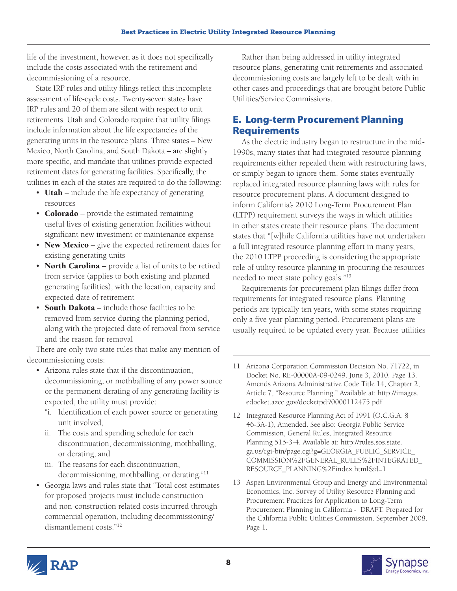life of the investment, however, as it does not specifically include the costs associated with the retirement and decommissioning of a resource.

State IRP rules and utility filings reflect this incomplete assessment of life-cycle costs. Twenty-seven states have IRP rules and 20 of them are silent with respect to unit retirements. Utah and Colorado require that utility filings include information about the life expectancies of the generating units in the resource plans. Three states – New Mexico, North Carolina, and South Dakota – are slightly more specific, and mandate that utilities provide expected retirement dates for generating facilities. Specifically, the utilities in each of the states are required to do the following:

- Utah include the life expectancy of generating resources
- Colorado provide the estimated remaining useful lives of existing generation facilities without significant new investment or maintenance expense
- New Mexico give the expected retirement dates for existing generating units
- North Carolina provide a list of units to be retired from service (applies to both existing and planned generating facilities), with the location, capacity and expected date of retirement
- South Dakota include those facilities to be removed from service during the planning period, along with the projected date of removal from service and the reason for removal

There are only two state rules that make any mention of decommissioning costs:

- Arizona rules state that if the discontinuation, decommissioning, or mothballing of any power source or the permanent derating of any generating facility is expected, the utility must provide:
	- "i. Identification of each power source or generating unit involved,
	- ii. The costs and spending schedule for each discontinuation, decommissioning, mothballing, or derating, and
	- iii. The reasons for each discontinuation, decommissioning, mothballing, or derating."11
- Georgia laws and rules state that "Total cost estimates for proposed projects must include construction and non-construction related costs incurred through commercial operation, including decommissioning/ dismantlement costs."12

Rather than being addressed in utility integrated resource plans, generating unit retirements and associated decommissioning costs are largely left to be dealt with in other cases and proceedings that are brought before Public Utilities/Service Commissions.

# E. Long-term Procurement Planning **Requirements**

As the electric industry began to restructure in the mid-1990s, many states that had integrated resource planning requirements either repealed them with restructuring laws, or simply began to ignore them. Some states eventually replaced integrated resource planning laws with rules for resource procurement plans. A document designed to inform California's 2010 Long-Term Procurement Plan (LTPP) requirement surveys the ways in which utilities in other states create their resource plans. The document states that "[w]hile California utilities have not undertaken a full integrated resource planning effort in many years, the 2010 LTPP proceeding is considering the appropriate role of utility resource planning in procuring the resources needed to meet state policy goals."<sup>13</sup>

Requirements for procurement plan filings differ from requirements for integrated resource plans. Planning periods are typically ten years, with some states requiring only a five year planning period. Procurement plans are usually required to be updated every year. Because utilities

- 11 Arizona Corporation Commission Decision No. 71722, in Docket No. RE-00000A-09-0249. June 3, 2010. Page 13. Amends Arizona Administrative Code Title 14, Chapter 2, Article 7, "Resource Planning." Available at: [http://images.](http://images.edocket.azcc.gov/docketpdf/0000112475.pdf) [edocket.azcc.gov/docketpdf/0000112475.pdf](http://images.edocket.azcc.gov/docketpdf/0000112475.pdf)
- 12 Integrated Resource Planning Act of 1991 (O.C.G.A. § 46-3A-1), Amended. See also: Georgia Public Service Commission, General Rules, Integrated Resource Planning 515-3-4. Available at: [http://rules.sos.state.](http://rules.sos.state.ga.us/cgi-bin/page.cgi?g=GEORGIA_PUBLIC_SERVICE_COMMISSION%2FGENERAL_RULES%2FINTEGRATED_RESOURCE_PLANNING%2Findex.html&d=1) [ga.us/cgi-bin/page.cgi?g=GEORGIA\\_PUBLIC\\_SERVICE\\_](http://rules.sos.state.ga.us/cgi-bin/page.cgi?g=GEORGIA_PUBLIC_SERVICE_COMMISSION%2FGENERAL_RULES%2FINTEGRATED_RESOURCE_PLANNING%2Findex.html&d=1) [COMMISSION%2FGENERAL\\_RULES%2FINTEGRATED\\_](http://rules.sos.state.ga.us/cgi-bin/page.cgi?g=GEORGIA_PUBLIC_SERVICE_COMMISSION%2FGENERAL_RULES%2FINTEGRATED_RESOURCE_PLANNING%2Findex.html&d=1) [RESOURCE\\_PLANNING%2Findex.html&d=1](http://rules.sos.state.ga.us/cgi-bin/page.cgi?g=GEORGIA_PUBLIC_SERVICE_COMMISSION%2FGENERAL_RULES%2FINTEGRATED_RESOURCE_PLANNING%2Findex.html&d=1)
- 13 Aspen Environmental Group and Energy and Environmental Economics, Inc. Survey of Utility Resource Planning and Procurement Practices for Application to Long-Term Procurement Planning in California - DRAFT. Prepared for the California Public Utilities Commission. September 2008. Page 1.

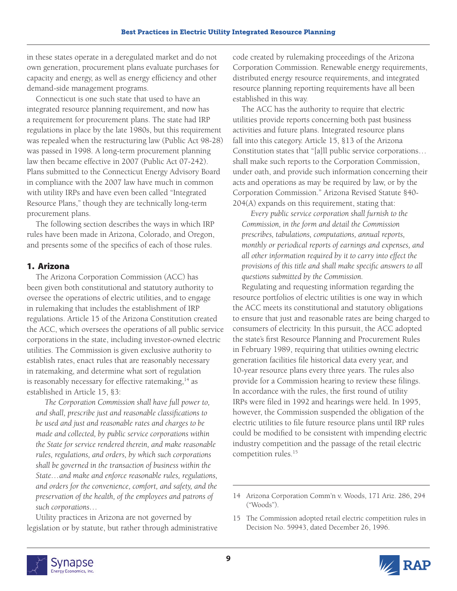in these states operate in a deregulated market and do not own generation, procurement plans evaluate purchases for capacity and energy, as well as energy efficiency and other demand-side management programs.

Connecticut is one such state that used to have an integrated resource planning requirement, and now has a requirement for procurement plans. The state had IRP regulations in place by the late 1980s, but this requirement was repealed when the restructuring law (Public Act 98-28) was passed in 1998. A long-term procurement planning law then became effective in 2007 (Public Act 07-242). Plans submitted to the Connecticut Energy Advisory Board in compliance with the 2007 law have much in common with utility IRPs and have even been called "Integrated Resource Plans," though they are technically long-term procurement plans.

The following section describes the ways in which IRP rules have been made in Arizona, Colorado, and Oregon, and presents some of the specifics of each of those rules.

# 1. Arizona

The Arizona Corporation Commission (ACC) has been given both constitutional and statutory authority to oversee the operations of electric utilities, and to engage in rulemaking that includes the establishment of IRP regulations. Article 15 of the Arizona Constitution created the ACC, which oversees the operations of all public service corporations in the state, including investor-owned electric utilities. The Commission is given exclusive authority to establish rates, enact rules that are reasonably necessary in ratemaking, and determine what sort of regulation is reasonably necessary for effective ratemaking, $14$  as established in Article 15, §3:

*The Corporation Commission shall have full power to, and shall, prescribe just and reasonable classifications to be used and just and reasonable rates and charges to be made and collected, by public service corporations within the State for service rendered therein, and make reasonable rules, regulations, and orders, by which such corporations shall be governed in the transaction of business within the State…and make and enforce reasonable rules, regulations, and orders for the convenience, comfort, and safety, and the preservation of the health, of the employees and patrons of such corporations…*

Utility practices in Arizona are not governed by legislation or by statute, but rather through administrative code created by rulemaking proceedings of the Arizona Corporation Commission. Renewable energy requirements, distributed energy resource requirements, and integrated resource planning reporting requirements have all been established in this way.

The ACC has the authority to require that electric utilities provide reports concerning both past business activities and future plans. Integrated resource plans fall into this category. Article 15, §13 of the Arizona Constitution states that "[a]ll public service corporations… shall make such reports to the Corporation Commission, under oath, and provide such information concerning their acts and operations as may be required by law, or by the Corporation Commission." Arizona Revised Statute §40- 204(A) expands on this requirement, stating that:

*Every public service corporation shall furnish to the Commission, in the form and detail the Commission prescribes, tabulations, computations, annual reports, monthly or periodical reports of earnings and expenses, and all other information required by it to carry into effect the provisions of this title and shall make specific answers to all questions submitted by the Commission.*

Regulating and requesting information regarding the resource portfolios of electric utilities is one way in which the ACC meets its constitutional and statutory obligations to ensure that just and reasonable rates are being charged to consumers of electricity. In this pursuit, the ACC adopted the state's first Resource Planning and Procurement Rules in February 1989, requiring that utilities owning electric generation facilities file historical data every year, and 10-year resource plans every three years. The rules also provide for a Commission hearing to review these filings. In accordance with the rules, the first round of utility IRPs were filed in 1992 and hearings were held. In 1995, however, the Commission suspended the obligation of the electric utilities to file future resource plans until IRP rules could be modified to be consistent with impending electric industry competition and the passage of the retail electric competition rules.15

<sup>15</sup> The Commission adopted retail electric competition rules in Decision No. 59943, dated December 26, 1996.



<sup>14</sup> Arizona Corporation Comm'n v. Woods, 171 Ariz. 286, 294 ("Woods").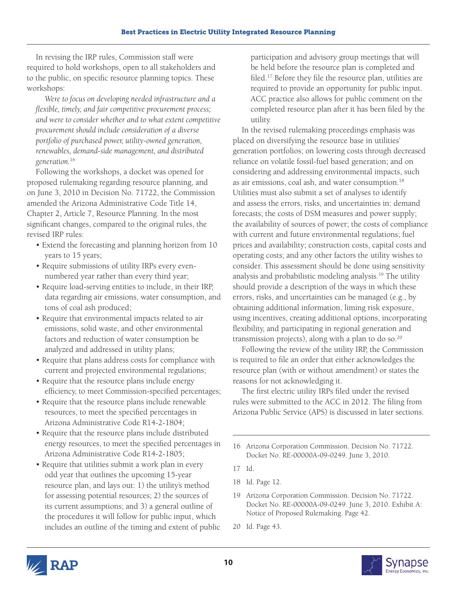In revising the IRP rules, Commission staff were required to hold workshops, open to all stakeholders and to the public, on specific resource planning topics. These workshops:

*Were to focus on developing needed infrastructure and a flexible, timely, and fair competitive procurement process; and were to consider whether and to what extent competitive procurement should include consideration of a diverse portfolio of purchased power, utility-owned generation, renewables, demand-side management, and distributed generation.*<sup>16</sup>

Following the workshops, a docket was opened for proposed rulemaking regarding resource planning, and on June 3, 2010 in Decision No. 71722, the Commission amended the Arizona Administrative Code Title 14, Chapter 2, Article 7, Resource Planning. In the most significant changes, compared to the original rules, the revised IRP rules:

- Extend the forecasting and planning horizon from 10 years to 15 years;
- Require submissions of utility IRPs every evennumbered year rather than every third year;
- Require load-serving entities to include, in their IRP, data regarding air emissions, water consumption, and tons of coal ash produced;
- Require that environmental impacts related to air emissions, solid waste, and other environmental factors and reduction of water consumption be analyzed and addressed in utility plans;
- Require that plans address costs for compliance with current and projected environmental regulations;
- Require that the resource plans include energy efficiency, to meet Commission-specified percentages;
- Require that the resource plans include renewable resources, to meet the specified percentages in Arizona Administrative Code R14-2-1804;
- Require that the resource plans include distributed energy resources, to meet the specified percentages in Arizona Administrative Code R14-2-1805;
- Require that utilities submit a work plan in every odd year that outlines the upcoming 15-year resource plan, and lays out: 1) the utility's method for assessing potential resources; 2) the sources of its current assumptions; and 3) a general outline of the procedures it will follow for public input, which includes an outline of the timing and extent of public

participation and advisory group meetings that will be held before the resource plan is completed and filed.17 Before they file the resource plan, utilities are required to provide an opportunity for public input. ACC practice also allows for public comment on the completed resource plan after it has been filed by the utility.

In the revised rulemaking proceedings emphasis was placed on diversifying the resource base in utilities' generation portfolios; on lowering costs through decreased reliance on volatile fossil-fuel based generation; and on considering and addressing environmental impacts, such as air emissions, coal ash, and water consumption.<sup>18</sup> Utilities must also submit a set of analyses to identify and assess the errors, risks, and uncertainties in: demand forecasts; the costs of DSM measures and power supply; the availability of sources of power; the costs of compliance with current and future environmental regulations; fuel prices and availability; construction costs, capital costs and operating costs; and any other factors the utility wishes to consider. This assessment should be done using sensitivity analysis and probabilistic modeling analysis.19 The utility should provide a description of the ways in which these errors, risks, and uncertainties can be managed (e.g., by obtaining additional information, liming risk exposure, using incentives, creating additional options, incorporating flexibility, and participating in regional generation and transmission projects), along with a plan to do so. $20$ 

Following the review of the utility IRP, the Commission is required to file an order that either acknowledges the resource plan (with or without amendment) or states the reasons for not acknowledging it.

The first electric utility IRPs filed under the revised rules were submitted to the ACC in 2012. The filing from Arizona Public Service (APS) is discussed in later sections.

- 16 Arizona Corporation Commission. Decision No. 71722. Docket No. RE-00000A-09-0249. June 3, 2010.
- 17 Id.

18 Id. Page 12.

- 19 Arizona Corporation Commission. Decision No. 71722. Docket No. RE-00000A-09-0249. June 3, 2010. Exhibit A: Notice of Proposed Rulemaking. Page 42.
- 20 Id. Page 43.



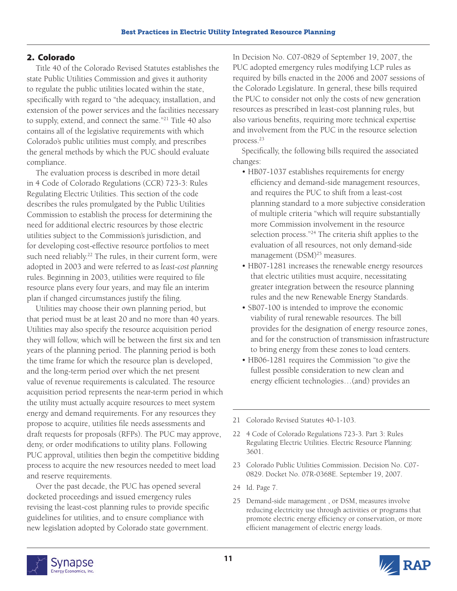# 2. Colorado

Title 40 of the Colorado Revised Statutes establishes the state Public Utilities Commission and gives it authority to regulate the public utilities located within the state, specifically with regard to "the adequacy, installation, and extension of the power services and the facilities necessary to supply, extend, and connect the same."21 Title 40 also contains all of the legislative requirements with which Colorado's public utilities must comply, and prescribes the general methods by which the PUC should evaluate compliance.

The evaluation process is described in more detail in 4 Code of Colorado Regulations (CCR) 723-3: Rules Regulating Electric Utilities. This section of the code describes the rules promulgated by the Public Utilities Commission to establish the process for determining the need for additional electric resources by those electric utilities subject to the Commission's jurisdiction, and for developing cost-effective resource portfolios to meet such need reliably.<sup>22</sup> The rules, in their current form, were adopted in 2003 and were referred to as *least-cost planning* rules. Beginning in 2003, utilities were required to file resource plans every four years, and may file an interim plan if changed circumstances justify the filing.

Utilities may choose their own planning period, but that period must be at least 20 and no more than 40 years. Utilities may also specify the resource acquisition period they will follow, which will be between the first six and ten years of the planning period. The planning period is both the time frame for which the resource plan is developed, and the long-term period over which the net present value of revenue requirements is calculated. The resource acquisition period represents the near-term period in which the utility must actually acquire resources to meet system energy and demand requirements. For any resources they propose to acquire, utilities file needs assessments and draft requests for proposals (RFPs). The PUC may approve, deny, or order modifications to utility plans. Following PUC approval, utilities then begin the competitive bidding process to acquire the new resources needed to meet load and reserve requirements.

Over the past decade, the PUC has opened several docketed proceedings and issued emergency rules revising the least-cost planning rules to provide specific guidelines for utilities, and to ensure compliance with new legislation adopted by Colorado state government.

In Decision No. C07-0829 of September 19, 2007, the PUC adopted emergency rules modifying LCP rules as required by bills enacted in the 2006 and 2007 sessions of the Colorado Legislature. In general, these bills required the PUC to consider not only the costs of new generation resources as prescribed in least-cost planning rules, but also various benefits, requiring more technical expertise and involvement from the PUC in the resource selection process.23

Specifically, the following bills required the associated changes:

- HB07-1037 establishes requirements for energy efficiency and demand-side management resources, and requires the PUC to shift from a least-cost planning standard to a more subjective consideration of multiple criteria "which will require substantially more Commission involvement in the resource selection process."24 The criteria shift applies to the evaluation of all resources, not only demand-side management (DSM)<sup>25</sup> measures.
- HB07-1281 increases the renewable energy resources that electric utilities must acquire, necessitating greater integration between the resource planning rules and the new Renewable Energy Standards.
- SB07-100 is intended to improve the economic viability of rural renewable resources. The bill provides for the designation of energy resource zones, and for the construction of transmission infrastructure to bring energy from these zones to load centers.
- HB06-1281 requires the Commission "to give the fullest possible consideration to new clean and energy efficient technologies…(and) provides an
- 21 Colorado Revised Statutes 40-1-103.
- 22 4 Code of Colorado Regulations 723-3. Part 3: Rules Regulating Electric Utilities. Electric Resource Planning: 3601.
- 23 Colorado Public Utilities Commission. Decision No. C07- 0829. Docket No. 07R-0368E. September 19, 2007.
- 24 Id. Page 7.
- 25 Demand-side management , or DSM, measures involve reducing electricity use through activities or programs that promote electric energy efficiency or conservation, or more efficient management of electric energy loads.

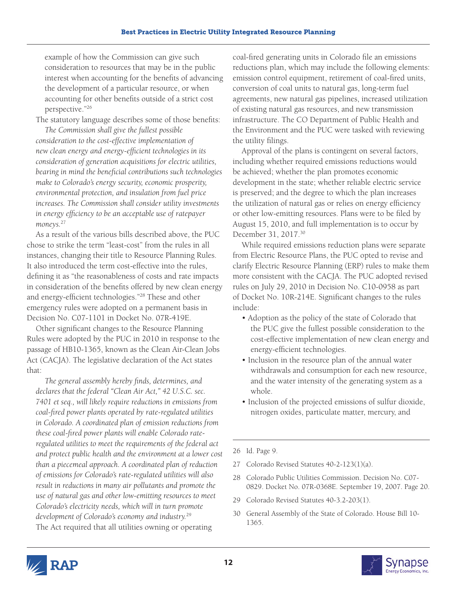example of how the Commission can give such consideration to resources that may be in the public interest when accounting for the benefits of advancing the development of a particular resource, or when accounting for other benefits outside of a strict cost perspective."26

The statutory language describes some of those benefits:

*The Commission shall give the fullest possible consideration to the cost-effective implementation of new clean energy and energy-efficient technologies in its consideration of generation acquisitions for electric utilities, bearing in mind the beneficial contributions such technologies make to Colorado's energy security, economic prosperity, environmental protection, and insulation from fuel price increases. The Commission shall consider utility investments in energy efficiency to be an acceptable use of ratepayer moneys.*<sup>27</sup>

As a result of the various bills described above, the PUC chose to strike the term "least-cost" from the rules in all instances, changing their title to Resource Planning Rules. It also introduced the term cost-effective into the rules, defining it as "the reasonableness of costs and rate impacts in consideration of the benefits offered by new clean energy and energy-efficient technologies."28 These and other emergency rules were adopted on a permanent basis in Decision No. C07-1101 in Docket No. 07R-419E.

Other significant changes to the Resource Planning Rules were adopted by the PUC in 2010 in response to the passage of HB10-1365, known as the Clean Air-Clean Jobs Act (CACJA). The legislative declaration of the Act states that:

*The general assembly hereby finds, determines, and declares that the federal "Clean Air Act," 42 U.S.C. sec. 7401 et seq., will likely require reductions in emissions from coal-fired power plants operated by rate-regulated utilities in Colorado. A coordinated plan of emission reductions from these coal-fired power plants will enable Colorado rateregulated utilities to meet the requirements of the federal act and protect public health and the environment at a lower cost than a piecemeal approach. A coordinated plan of reduction of emissions for Colorado's rate-regulated utilities will also result in reductions in many air pollutants and promote the use of natural gas and other low-emitting resources to meet Colorado's electricity needs, which will in turn promote development of Colorado's economy and industry.*<sup>29</sup> The Act required that all utilities owning or operating

coal-fired generating units in Colorado file an emissions reductions plan, which may include the following elements: emission control equipment, retirement of coal-fired units, conversion of coal units to natural gas, long-term fuel agreements, new natural gas pipelines, increased utilization of existing natural gas resources, and new transmission infrastructure. The CO Department of Public Health and the Environment and the PUC were tasked with reviewing the utility filings.

Approval of the plans is contingent on several factors, including whether required emissions reductions would be achieved; whether the plan promotes economic development in the state; whether reliable electric service is preserved; and the degree to which the plan increases the utilization of natural gas or relies on energy efficiency or other low-emitting resources. Plans were to be filed by August 15, 2010, and full implementation is to occur by December 31, 2017.30

While required emissions reduction plans were separate from Electric Resource Plans, the PUC opted to revise and clarify Electric Resource Planning (ERP) rules to make them more consistent with the CACJA. The PUC adopted revised rules on July 29, 2010 in Decision No. C10-0958 as part of Docket No. 10R-214E. Significant changes to the rules include:

- Adoption as the policy of the state of Colorado that the PUC give the fullest possible consideration to the cost-effective implementation of new clean energy and energy-efficient technologies.
- Inclusion in the resource plan of the annual water withdrawals and consumption for each new resource, and the water intensity of the generating system as a whole.
- Inclusion of the projected emissions of sulfur dioxide, nitrogen oxides, particulate matter, mercury, and

26 Id. Page 9.

- 27 Colorado Revised Statutes 40-2-123(1)(a).
- 28 Colorado Public Utilities Commission. Decision No. C07- 0829. Docket No. 07R-0368E. September 19, 2007. Page 20.
- 29 Colorado Revised Statutes 40-3.2-203(1).
- 30 General Assembly of the State of Colorado. House Bill 10- 1365.

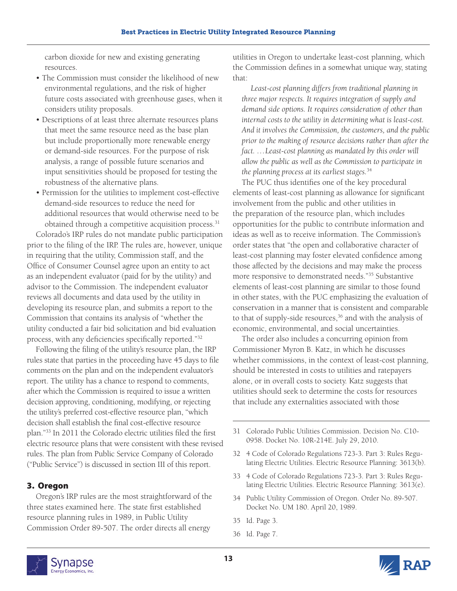carbon dioxide for new and existing generating resources.

- The Commission must consider the likelihood of new environmental regulations, and the risk of higher future costs associated with greenhouse gases, when it considers utility proposals.
- Descriptions of at least three alternate resources plans that meet the same resource need as the base plan but include proportionally more renewable energy or demand-side resources. For the purpose of risk analysis, a range of possible future scenarios and input sensitivities should be proposed for testing the robustness of the alternative plans.
- Permission for the utilities to implement cost-effective demand-side resources to reduce the need for additional resources that would otherwise need to be obtained through a competitive acquisition process.<sup>31</sup>

Colorado's IRP rules do not mandate public participation prior to the filing of the IRP. The rules are, however, unique in requiring that the utility, Commission staff, and the Office of Consumer Counsel agree upon an entity to act as an independent evaluator (paid for by the utility) and advisor to the Commission. The independent evaluator reviews all documents and data used by the utility in developing its resource plan, and submits a report to the Commission that contains its analysis of "whether the utility conducted a fair bid solicitation and bid evaluation process, with any deficiencies specifically reported."32

Following the filing of the utility's resource plan, the IRP rules state that parties in the proceeding have 45 days to file comments on the plan and on the independent evaluator's report. The utility has a chance to respond to comments, after which the Commission is required to issue a written decision approving, conditioning, modifying, or rejecting the utility's preferred cost-effective resource plan, "which decision shall establish the final cost-effective resource plan."33 In 2011 the Colorado electric utilities filed the first electric resource plans that were consistent with these revised rules. The plan from Public Service Company of Colorado ("Public Service") is discussed in section III of this report.

# 3. Oregon

Oregon's IRP rules are the most straightforward of the three states examined here. The state first established resource planning rules in 1989, in Public Utility Commission Order 89-507. The order directs all energy

utilities in Oregon to undertake least-cost planning, which the Commission defines in a somewhat unique way, stating that:

*Least-cost planning differs from traditional planning in three major respects. It requires integration of supply and demand side options. It requires consideration of other than internal costs to the utility in determining what is least-cost. And it involves the Commission, the customers, and the public prior to the making of resource decisions rather than after the fact. …Least-cost planning as mandated by this order will allow the public as well as the Commission to participate in the planning process at its earliest stages.*<sup>34</sup>

The PUC thus identifies one of the key procedural elements of least-cost planning as allowance for significant involvement from the public and other utilities in the preparation of the resource plan, which includes opportunities for the public to contribute information and ideas as well as to receive information. The Commission's order states that "the open and collaborative character of least-cost planning may foster elevated confidence among those affected by the decisions and may make the process more responsive to demonstrated needs."35 Substantive elements of least-cost planning are similar to those found in other states, with the PUC emphasizing the evaluation of conservation in a manner that is consistent and comparable to that of supply-side resources, $36$  and with the analysis of economic, environmental, and social uncertainties.

The order also includes a concurring opinion from Commissioner Myron B. Katz, in which he discusses whether commissions, in the context of least-cost planning, should be interested in costs to utilities and ratepayers alone, or in overall costs to society. Katz suggests that utilities should seek to determine the costs for resources that include any externalities associated with those

- 31 Colorado Public Utilities Commission. Decision No. C10- 0958. Docket No. 10R-214E. July 29, 2010.
- 32 4 Code of Colorado Regulations 723-3. Part 3: Rules Regulating Electric Utilities. Electric Resource Planning: 3613(b).
- 33 4 Code of Colorado Regulations 723-3. Part 3: Rules Regulating Electric Utilities. Electric Resource Planning: 3613(e).
- 34 Public Utility Commission of Oregon. Order No. 89-507. Docket No. UM 180. April 20, 1989.
- 35 Id. Page 3.
- 36 Id. Page 7.

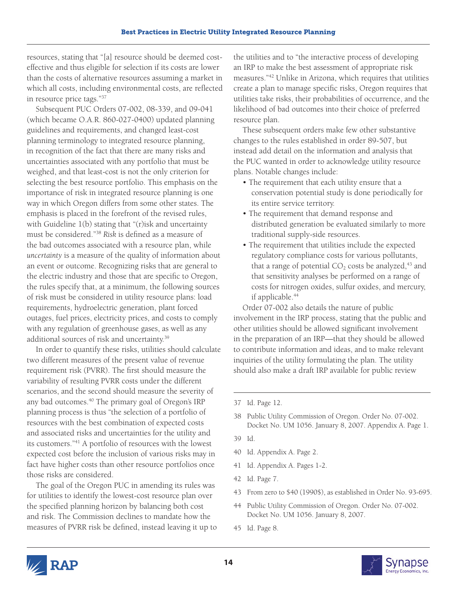resources, stating that "[a] resource should be deemed costeffective and thus eligible for selection if its costs are lower than the costs of alternative resources assuming a market in which all costs, including environmental costs, are reflected in resource price tags."37

Subsequent PUC Orders 07-002, 08-339, and 09-041 (which became O.A.R. 860-027-0400) updated planning guidelines and requirements, and changed least-cost planning terminology to integrated resource planning, in recognition of the fact that there are many risks and uncertainties associated with any portfolio that must be weighed, and that least-cost is not the only criterion for selecting the best resource portfolio. This emphasis on the importance of risk in integrated resource planning is one way in which Oregon differs from some other states. The emphasis is placed in the forefront of the revised rules, with Guideline 1(b) stating that "(r)isk and uncertainty must be considered."38 *Risk* is defined as a measure of the bad outcomes associated with a resource plan, while *uncertainty* is a measure of the quality of information about an event or outcome. Recognizing risks that are general to the electric industry and those that are specific to Oregon, the rules specify that, at a minimum, the following sources of risk must be considered in utility resource plans: load requirements, hydroelectric generation, plant forced outages, fuel prices, electricity prices, and costs to comply with any regulation of greenhouse gases, as well as any additional sources of risk and uncertainty.39

In order to quantify these risks, utilities should calculate two different measures of the present value of revenue requirement risk (PVRR). The first should measure the variability of resulting PVRR costs under the different scenarios, and the second should measure the severity of any bad outcomes.40 The primary goal of Oregon's IRP planning process is thus "the selection of a portfolio of resources with the best combination of expected costs and associated risks and uncertainties for the utility and its customers."41 A portfolio of resources with the lowest expected cost before the inclusion of various risks may in fact have higher costs than other resource portfolios once those risks are considered.

The goal of the Oregon PUC in amending its rules was for utilities to identify the lowest-cost resource plan over the specified planning horizon by balancing both cost and risk. The Commission declines to mandate how the measures of PVRR risk be defined, instead leaving it up to the utilities and to "the interactive process of developing an IRP to make the best assessment of appropriate risk measures."42 Unlike in Arizona, which requires that utilities create a plan to manage specific risks, Oregon requires that utilities take risks, their probabilities of occurrence, and the likelihood of bad outcomes into their choice of preferred resource plan.

These subsequent orders make few other substantive changes to the rules established in order 89-507, but instead add detail on the information and analysis that the PUC wanted in order to acknowledge utility resource plans. Notable changes include:

- The requirement that each utility ensure that a conservation potential study is done periodically for its entire service territory.
- The requirement that demand response and distributed generation be evaluated similarly to more traditional supply-side resources.
- The requirement that utilities include the expected regulatory compliance costs for various pollutants, that a range of potential  $CO<sub>2</sub>$  costs be analyzed,<sup>43</sup> and that sensitivity analyses be performed on a range of costs for nitrogen oxides, sulfur oxides, and mercury, if applicable.<sup>44</sup>

Order 07-002 also details the nature of public involvement in the IRP process, stating that the public and other utilities should be allowed significant involvement in the preparation of an IRP—that they should be allowed to contribute information and ideas, and to make relevant inquiries of the utility formulating the plan. The utility should also make a draft IRP available for public review

- 38 Public Utility Commission of Oregon. Order No. 07-002. Docket No. UM 1056. January 8, 2007. Appendix A. Page 1.
- 39 Id.
- 40 Id. Appendix A. Page 2.
- 41 Id. Appendix A. Pages 1-2.
- 42 Id. Page 7.
- 43 From zero to \$40 (1990\$), as established in Order No. 93-695.
- 44 Public Utility Commission of Oregon. Order No. 07-002. Docket No. UM 1056. January 8, 2007.
- 45 Id. Page 8.





<sup>37</sup> Id. Page 12.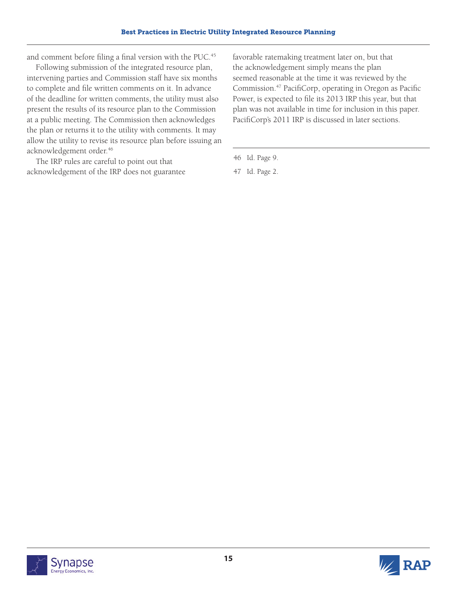and comment before filing a final version with the PUC.<sup>45</sup>

Following submission of the integrated resource plan, intervening parties and Commission staff have six months to complete and file written comments on it. In advance of the deadline for written comments, the utility must also present the results of its resource plan to the Commission at a public meeting. The Commission then acknowledges the plan or returns it to the utility with comments. It may allow the utility to revise its resource plan before issuing an acknowledgement order.46

The IRP rules are careful to point out that acknowledgement of the IRP does not guarantee

favorable ratemaking treatment later on, but that the acknowledgement simply means the plan seemed reasonable at the time it was reviewed by the Commission.47 PacifiCorp, operating in Oregon as Pacific Power, is expected to file its 2013 IRP this year, but that plan was not available in time for inclusion in this paper. PacifiCorp's 2011 IRP is discussed in later sections.

47 Id. Page 2.





<sup>46</sup> Id. Page 9.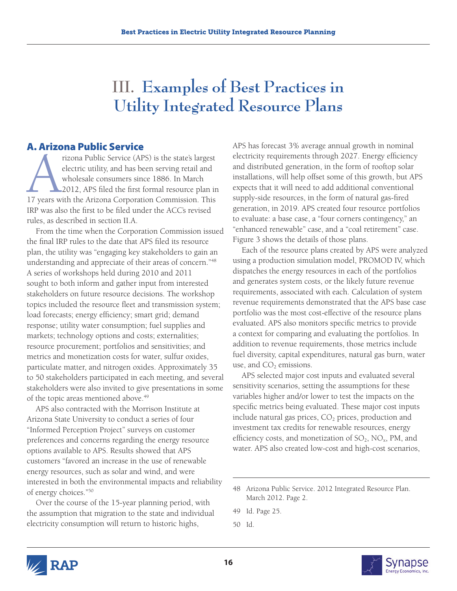# **III. Examples of Best Practices in Utility Integrated Resource Plans**

# A. Arizona Public Service

Transactional Public Service (APS) is the state's largest electric utility, and has been serving retail and wholesale consumers since 1886. In March 2012, APS filed the first formal resource plan in 17 years with the Arizo electric utility, and has been serving retail and wholesale consumers since 1886. In March 2012, APS filed the first formal resource plan in IRP was also the first to be filed under the ACC's revised rules, as described in section II.A.

From the time when the Corporation Commission issued the final IRP rules to the date that APS filed its resource plan, the utility was "engaging key stakeholders to gain an understanding and appreciate of their areas of concern."48 A series of workshops held during 2010 and 2011 sought to both inform and gather input from interested stakeholders on future resource decisions. The workshop topics included the resource fleet and transmission system; load forecasts; energy efficiency; smart grid; demand response; utility water consumption; fuel supplies and markets; technology options and costs; externalities; resource procurement; portfolios and sensitivities; and metrics and monetization costs for water, sulfur oxides, particulate matter, and nitrogen oxides. Approximately 35 to 50 stakeholders participated in each meeting, and several stakeholders were also invited to give presentations in some of the topic areas mentioned above.<sup>49</sup>

APS also contracted with the Morrison Institute at Arizona State University to conduct a series of four "Informed Perception Project" surveys on customer preferences and concerns regarding the energy resource options available to APS. Results showed that APS customers "favored an increase in the use of renewable energy resources, such as solar and wind, and were interested in both the environmental impacts and reliability of energy choices."50

Over the course of the 15-year planning period, with the assumption that migration to the state and individual electricity consumption will return to historic highs,

APS has forecast 3% average annual growth in nominal electricity requirements through 2027. Energy efficiency and distributed generation, in the form of rooftop solar installations, will help offset some of this growth, but APS expects that it will need to add additional conventional supply-side resources, in the form of natural gas-fired generation, in 2019. APS created four resource portfolios to evaluate: a base case, a "four corners contingency," an "enhanced renewable" case, and a "coal retirement" case. Figure 3 shows the details of those plans.

Each of the resource plans created by APS were analyzed using a production simulation model, PROMOD IV, which dispatches the energy resources in each of the portfolios and generates system costs, or the likely future revenue requirements, associated with each. Calculation of system revenue requirements demonstrated that the APS base case portfolio was the most cost-effective of the resource plans evaluated. APS also monitors specific metrics to provide a context for comparing and evaluating the portfolios. In addition to revenue requirements, those metrics include fuel diversity, capital expenditures, natural gas burn, water use, and  $CO<sub>2</sub>$  emissions.

APS selected major cost inputs and evaluated several sensitivity scenarios, setting the assumptions for these variables higher and/or lower to test the impacts on the specific metrics being evaluated. These major cost inputs include natural gas prices,  $CO<sub>2</sub>$  prices, production and investment tax credits for renewable resources, energy efficiency costs, and monetization of  $SO_2$ ,  $NO_x$ , PM, and water. APS also created low-cost and high-cost scenarios,

- 49 Id. Page 25.
- 50 Id.





<sup>48</sup> Arizona Public Service. 2012 Integrated Resource Plan. March 2012. Page 2.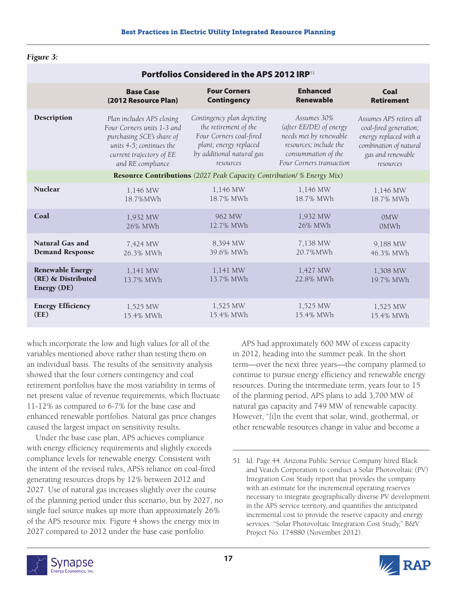#### *Figure 3:*

| <b>Portfolios Considered in the APS 2012 IRP51</b> |
|----------------------------------------------------|
|----------------------------------------------------|

|                                                                     | <b>Base Case</b>                                                                                                                                                  | <b>Four Corners</b>                                                                                                                                                                                                                                                                                 | <b>Enhanced</b>       | <b>Coal</b>                                                                                                                             |
|---------------------------------------------------------------------|-------------------------------------------------------------------------------------------------------------------------------------------------------------------|-----------------------------------------------------------------------------------------------------------------------------------------------------------------------------------------------------------------------------------------------------------------------------------------------------|-----------------------|-----------------------------------------------------------------------------------------------------------------------------------------|
|                                                                     | (2012 Resource Plan)                                                                                                                                              | <b>Contingency</b>                                                                                                                                                                                                                                                                                  | <b>Renewable</b>      | <b>Retirement</b>                                                                                                                       |
| <b>Description</b>                                                  | Plan includes APS closing<br>Four Corners units 1-3 and<br>purchasing SCE's share of<br>units 4-5; continues the<br>current trajectory of EE<br>and RE compliance | Contingency plan depicting<br>Assumes 30%<br>the retirement of the<br>(after EE/DE) of energy<br>Four Corners coal-fired<br>needs met by renewable<br>plant; energy replaced<br>resources; include the<br>by additional natural gas<br>consummation of the<br>Four Corners transaction<br>resources |                       | Assumes APS retires all<br>coal-fired generation;<br>energy replaced with a<br>combination of natural<br>gas and renewable<br>resources |
|                                                                     |                                                                                                                                                                   | Resource Contributions (2027 Peak Capacity Contribution/ % Energy Mix)                                                                                                                                                                                                                              |                       |                                                                                                                                         |
| <b>Nuclear</b>                                                      | 1,146 MW                                                                                                                                                          | 1,146 MW                                                                                                                                                                                                                                                                                            | 1,146 MW              | 1,146 MW                                                                                                                                |
|                                                                     | 18.7%MWh                                                                                                                                                          | 18.7% MWh                                                                                                                                                                                                                                                                                           | 18.7% MWh             | 18.7% MWh                                                                                                                               |
| Coal                                                                | 1,932 MW                                                                                                                                                          | 962 MW                                                                                                                                                                                                                                                                                              | 1,932 MW              | 0MW                                                                                                                                     |
|                                                                     | 26% MWh                                                                                                                                                           | 12.7% MWh                                                                                                                                                                                                                                                                                           | 26% MWh               | 0 <sub>MW</sub> h                                                                                                                       |
| <b>Natural Gas and</b>                                              | 7,424 MW                                                                                                                                                          | 8,394 MW                                                                                                                                                                                                                                                                                            | 7,138 MW              | 9,188 MW                                                                                                                                |
| <b>Demand Response</b>                                              | 26.3% MWh                                                                                                                                                         | 39.6% MWh                                                                                                                                                                                                                                                                                           | 20.7%MWh              | 46.3% MWh                                                                                                                               |
| <b>Renewable Energy</b><br>(RE) & Distributed<br><b>Energy (DE)</b> | $1,141$ MW<br>13.7% MWh                                                                                                                                           | $1,141$ MW<br>13.7% MWh                                                                                                                                                                                                                                                                             | 1,427 MW<br>22.8% MWh | 1,308 MW<br>19.7% MWh                                                                                                                   |
| <b>Energy Efficiency</b>                                            | 1,525 MW                                                                                                                                                          | 1,525 MW                                                                                                                                                                                                                                                                                            | 1,525 MW              | 1,525 MW                                                                                                                                |
| (EE)                                                                | 15.4% MWh                                                                                                                                                         | 15.4% MWh                                                                                                                                                                                                                                                                                           | 15.4% MWh             | 15.4% MWh                                                                                                                               |

which incorporate the low and high values for all of the variables mentioned above rather than testing them on an individual basis. The results of the sensitivity analysis showed that the four corners contingency and coal retirement portfolios have the most variability in terms of net present value of revenue requirements, which fluctuate 11-12% as compared to 6-7% for the base case and enhanced renewable portfolios. Natural gas price changes caused the largest impact on sensitivity results.

Under the base case plan, APS achieves compliance with energy efficiency requirements and slightly exceeds compliance levels for renewable energy. Consistent with the intent of the revised rules, APS's reliance on coal-fired generating resources drops by 12% between 2012 and 2027. Use of natural gas increases slightly over the course of the planning period under this scenario, but by 2027, no single fuel source makes up more than approximately 26% of the APS resource mix. Figure 4 shows the energy mix in 2027 compared to 2012 under the base case portfolio.

APS had approximately 600 MW of excess capacity in 2012, heading into the summer peak. In the short term—over the next three years—the company planned to continue to pursue energy efficiency and renewable energy resources. During the intermediate term, years four to 15 of the planning period, APS plans to add 3,700 MW of natural gas capacity and 749 MW of renewable capacity. However, "[i]n the event that solar, wind, geothermal, or other renewable resources change in value and become a





<sup>51</sup> Id. Page 44. Arizona Public Service Company hired Black and Veatch Corporation to conduct a Solar Photovoltaic (PV) Integration Cost Study report that provides the company with an estimate for the incremental operating reserves necessary to integrate geographically diverse PV development in the APS service territory, and quantifies the anticipated incremental cost to provide the reserve capacity and energy services. "Solar Photovoltaic Integration Cost Study," B&V Project No. 174880 (November 2012).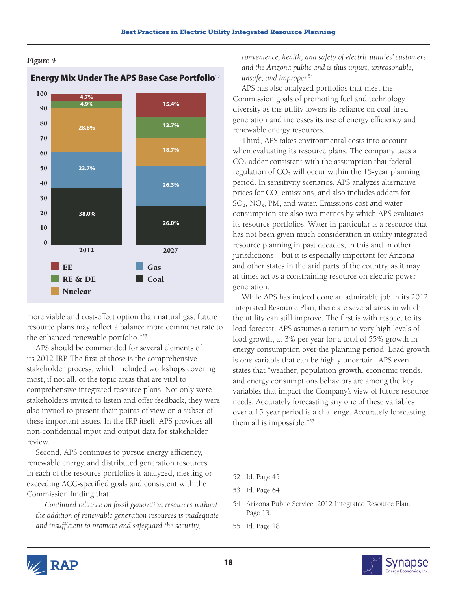#### *Figure 4*



Energy Mix Under The APS Base Case Portfolio<sup>52</sup>

*convenience, health, and safety of electric utilities' customers and the Arizona public and is thus unjust, unreasonable, unsafe, and improper.*<sup>54</sup>

APS has also analyzed portfolios that meet the Commission goals of promoting fuel and technology diversity as the utility lowers its reliance on coal-fired generation and increases its use of energy efficiency and renewable energy resources.

Third, APS takes environmental costs into account when evaluating its resource plans. The company uses a  $CO<sub>2</sub>$  adder consistent with the assumption that federal regulation of  $CO<sub>2</sub>$  will occur within the 15-year planning period. In sensitivity scenarios, APS analyzes alternative prices for  $CO<sub>2</sub>$  emissions, and also includes adders for  $SO_2$ ,  $NO_x$ , PM, and water. Emissions cost and water consumption are also two metrics by which APS evaluates its resource portfolios. Water in particular is a resource that has not been given much consideration in utility integrated resource planning in past decades, in this and in other jurisdictions—but it is especially important for Arizona and other states in the arid parts of the country, as it may at times act as a constraining resource on electric power generation.

While APS has indeed done an admirable job in its 2012 Integrated Resource Plan, there are several areas in which the utility can still improve. The first is with respect to its load forecast. APS assumes a return to very high levels of load growth, at 3% per year for a total of 55% growth in energy consumption over the planning period. Load growth is one variable that can be highly uncertain. APS even states that "weather, population growth, economic trends, and energy consumptions behaviors are among the key variables that impact the Company's view of future resource needs. Accurately forecasting any one of these variables over a 15-year period is a challenge. Accurately forecasting them all is impossible."55

more viable and cost-effect option than natural gas, future resource plans may reflect a balance more commensurate to the enhanced renewable portfolio."53

APS should be commended for several elements of its 2012 IRP. The first of those is the comprehensive stakeholder process, which included workshops covering most, if not all, of the topic areas that are vital to comprehensive integrated resource plans. Not only were stakeholders invited to listen and offer feedback, they were also invited to present their points of view on a subset of these important issues. In the IRP itself, APS provides all non-confidential input and output data for stakeholder review.

Second, APS continues to pursue energy efficiency, renewable energy, and distributed generation resources in each of the resource portfolios it analyzed, meeting or exceeding ACC-specified goals and consistent with the Commission finding that:

*Continued reliance on fossil generation resources without the addition of renewable generation resources is inadequate and insufficient to promote and safeguard the security,* 

- 52 Id. Page 45.
- 53 Id. Page 64.
- 54 Arizona Public Service. 2012 Integrated Resource Plan. Page 13.
- 55 Id. Page 18.



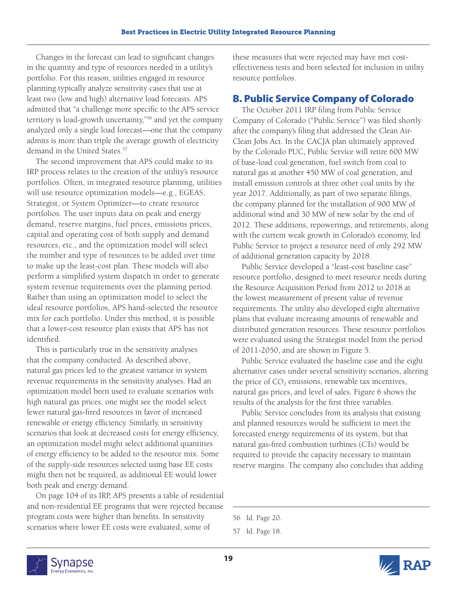Changes in the forecast can lead to significant changes in the quantity and type of resources needed in a utility's portfolio. For this reason, utilities engaged in resource planning typically analyze sensitivity cases that use at least two (low and high) alternative load forecasts. APS admitted that "a challenge more specific to the APS service territory is load-growth uncertainty,"56 and yet the company analyzed only a single load forecast—one that the company admits is more than triple the average growth of electricity demand in the United States.<sup>57</sup>

The second improvement that APS could make to its IRP process relates to the creation of the utility's resource portfolios. Often, in integrated resource planning, utilities will use resource optimization models—e.g., EGEAS, Strategist, or System Optimizer—to create resource portfolios. The user inputs data on peak and energy demand, reserve margins, fuel prices, emissions prices, capital and operating cost of both supply and demand resources, etc., and the optimization model will select the number and type of resources to be added over time to make up the least-cost plan. These models will also perform a simplified system dispatch in order to generate system revenue requirements over the planning period. Rather than using an optimization model to select the ideal resource portfolios, APS hand-selected the resource mix for each portfolio. Under this method, it is possible that a lower-cost resource plan exists that APS has not identified.

This is particularly true in the sensitivity analyses that the company conducted. As described above, natural gas prices led to the greatest variance in system revenue requirements in the sensitivity analyses. Had an optimization model been used to evaluate scenarios with high natural gas prices, one might see the model select fewer natural gas-fired resources in favor of increased renewable or energy efficiency. Similarly, in sensitivity scenarios that look at decreased costs for energy efficiency, an optimization model might select additional quantities of energy efficiency to be added to the resource mix. Some of the supply-side resources selected using base EE costs might then not be required, as additional EE would lower both peak and energy demand.

On page 104 of its IRP, APS presents a table of residential and non-residential EE programs that were rejected because program costs were higher than benefits. In sensitivity scenarios where lower EE costs were evaluated, some of

these measures that were rejected may have met costeffectiveness tests and been selected for inclusion in utility resource portfolios.

# B. Public Service Company of Colorado

The October 2011 IRP filing from Public Service Company of Colorado ("Public Service") was filed shortly after the company's filing that addressed the Clean Air-Clean Jobs Act. In the CACJA plan ultimately approved by the Colorado PUC, Public Service will retire 600 MW of base-load coal generation, fuel switch from coal to natural gas at another 450 MW of coal generation, and install emission controls at three other coal units by the year 2017. Additionally, as part of two separate filings, the company planned for the installation of 900 MW of additional wind and 30 MW of new solar by the end of 2012. These additions, repowerings, and retirements, along with the current weak growth in Colorado's economy, led Public Service to project a resource need of only 292 MW of additional generation capacity by 2018.

Public Service developed a "least-cost baseline case" resource portfolio, designed to meet resource needs during the Resource Acquisition Period from 2012 to 2018 at the lowest measurement of present value of revenue requirements. The utility also developed eight alternative plans that evaluate increasing amounts of renewable and distributed generation resources. These resource portfolios were evaluated using the Strategist model from the period of 2011-2050, and are shown in Figure 5.

Public Service evaluated the baseline case and the eight alternative cases under several sensitivity scenarios, altering the price of  $CO<sub>2</sub>$  emissions, renewable tax incentives, natural gas prices, and level of sales. Figure 6 shows the results of the analysis for the first three variables.

Public Service concludes from its analysis that existing and planned resources would be sufficient to meet the forecasted energy requirements of its system, but that natural gas-fired combustion turbines (CTs) would be required to provide the capacity necessary to maintain reserve margins. The company also concludes that adding





<sup>56</sup> Id. Page 20.

<sup>57</sup> Id. Page 18.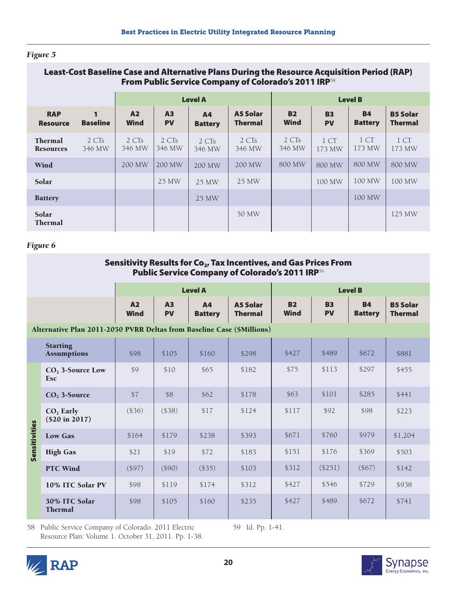#### *Figure 5*

### Least-Cost Baseline Case and Alternative Plans During the Resource Acquisition Period (RAP) From Public Service Company of Colorado's 2011 IRP<sup>58</sup>

|                                    |                      |                               |                             | <b>Level A</b>                   |                            | <b>Level B</b>           |                           |                             |                                   |  |
|------------------------------------|----------------------|-------------------------------|-----------------------------|----------------------------------|----------------------------|--------------------------|---------------------------|-----------------------------|-----------------------------------|--|
| <b>RAP</b><br><b>Resource</b>      | 1<br><b>Baseline</b> | A <sub>2</sub><br><b>Wind</b> | A <sub>3</sub><br><b>PV</b> | A <sub>4</sub><br><b>Battery</b> | A5 Solar<br><b>Thermal</b> | <b>B2</b><br><b>Wind</b> | <b>B3</b><br><b>PV</b>    | <b>B4</b><br><b>Battery</b> | <b>B5 Solar</b><br><b>Thermal</b> |  |
| <b>Thermal</b><br><b>Resources</b> | 2 CTs<br>346 MW      | 2 CTs<br>346 MW               | 2 CTs<br>346 MW             | 2 CTs<br>346 MW                  | 2 CTs<br>346 MW            | 2 CTs<br>346 MW          | 1 <sub>CT</sub><br>173 MW | 1 CT<br>173 MW              | 1CT<br>173 MW                     |  |
| Wind                               |                      | 200 MW                        | 200 MW                      | 200 MW                           | 200 MW                     | 800 MW                   | 800 MW                    | 800 MW                      | 800 MW                            |  |
| Solar                              |                      |                               | 25 MW                       | 25 MW                            | 25 MW                      |                          | 100 MW                    | 100 MW                      | 100 MW                            |  |
| <b>Battery</b>                     |                      |                               |                             | 25 MW                            |                            |                          |                           | 100 MW                      |                                   |  |
| Solar<br><b>Thermal</b>            |                      |                               |                             |                                  | 50 MW                      |                          |                           |                             | 125 MW                            |  |

#### *Figure 6*

#### Sensitivity Results for Co<sub>2</sub>, Tax Incentives, and Gas Prices From Public Service Company of Colorado's 2011 IRP<sup>59</sup> Level A Level B A4 A5 Solar **B4** B5 Solar A2 A3 B2 B3 **Wind** PV **Battery** Thermal **Wind** PV **Battery** Thermal Alternative Plan 2011-2050 PVRR Deltas from Baseline Case (\$Millions) Starting **Assumptions** \$98 \$105 \$160 \$298 \$427 \$489 \$672 \$881 \$9 \$10 \$65 \$182 \$75 \$113 \$297 \$455 CO<sub>2</sub> 3-Source Low **Esc** \$8 \$62 \$178 \$63 \$101 \$285 \$441  $CO<sub>2</sub>$  3-Source \$7 (\$36) (\$38) \$17 \$124 \$117 \$92 \$98  $CO<sub>2</sub>$  Early \$223 (\$20 in 2017) Sensitivities Sensitivities Low Gas \$164 \$179 \$238 \$393 \$671 \$760 \$979 \$1,204 \$151 \$176 \$369 High Gas \$21 \$19 \$72 \$183 \$503 \$103 \$312 \$142 PTC Wind (\$97) (\$90) (\$35) (\$251) (\$67) 10% ITC Solar PV \$98 \$119 \$174 \$312 \$427 \$546 \$729 \$938 \$427 \$489 \$672 30% ITC Solar \$98 \$105 \$160 \$235 \$741 Thermal

58 Public Service Company of Colorado. 2011 Electric Resource Plan: Volume 1. October 31, 2011. Pp. 1-38. 59 Id. Pp. 1-41.

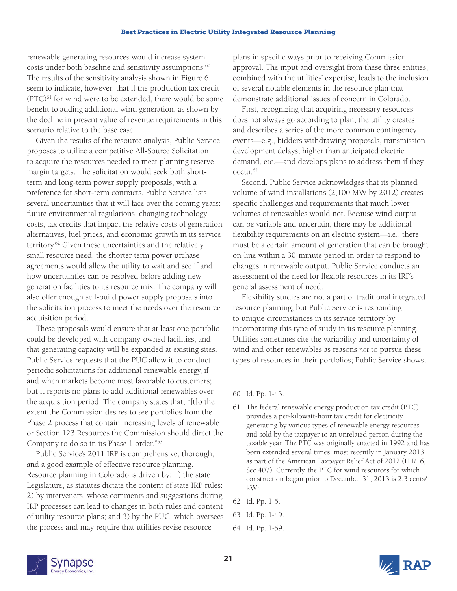renewable generating resources would increase system costs under both baseline and sensitivity assumptions.<sup>60</sup> The results of the sensitivity analysis shown in Figure 6 seem to indicate, however, that if the production tax credit  $(PTC)^{61}$  for wind were to be extended, there would be some benefit to adding additional wind generation, as shown by the decline in present value of revenue requirements in this scenario relative to the base case.

Given the results of the resource analysis, Public Service proposes to utilize a competitive All-Source Solicitation to acquire the resources needed to meet planning reserve margin targets. The solicitation would seek both shortterm and long-term power supply proposals, with a preference for short-term contracts. Public Service lists several uncertainties that it will face over the coming years: future environmental regulations, changing technology costs, tax credits that impact the relative costs of generation alternatives, fuel prices, and economic growth in its service territory.62 Given these uncertainties and the relatively small resource need, the shorter-term power urchase agreements would allow the utility to wait and see if and how uncertainties can be resolved before adding new generation facilities to its resource mix. The company will also offer enough self-build power supply proposals into the solicitation process to meet the needs over the resource acquisition period.

These proposals would ensure that at least one portfolio could be developed with company-owned facilities, and that generating capacity will be expanded at existing sites. Public Service requests that the PUC allow it to conduct periodic solicitations for additional renewable energy, if and when markets become most favorable to customers; but it reports no plans to add additional renewables over the acquisition period. The company states that, "[t]o the extent the Commission desires to see portfolios from the Phase 2 process that contain increasing levels of renewable or Section 123 Resources the Commission should direct the Company to do so in its Phase 1 order."63

Public Service's 2011 IRP is comprehensive, thorough, and a good example of effective resource planning. Resource planning in Colorado is driven by: 1) the state Legislature, as statutes dictate the content of state IRP rules; 2) by interveners, whose comments and suggestions during IRP processes can lead to changes in both rules and content of utility resource plans; and 3) by the PUC, which oversees the process and may require that utilities revise resource

plans in specific ways prior to receiving Commission approval. The input and oversight from these three entities, combined with the utilities' expertise, leads to the inclusion of several notable elements in the resource plan that demonstrate additional issues of concern in Colorado.

First, recognizing that acquiring necessary resources does not always go according to plan, the utility creates and describes a series of the more common contingency events—e.g., bidders withdrawing proposals, transmission development delays, higher than anticipated electric demand, etc.—and develops plans to address them if they occur.64

Second, Public Service acknowledges that its planned volume of wind installations (2,100 MW by 2012) creates specific challenges and requirements that much lower volumes of renewables would not. Because wind output can be variable and uncertain, there may be additional flexibility requirements on an electric system—i.e., there must be a certain amount of generation that can be brought on-line within a 30-minute period in order to respond to changes in renewable output. Public Service conducts an assessment of the need for flexible resources in its IRP's general assessment of need.

Flexibility studies are not a part of traditional integrated resource planning, but Public Service is responding to unique circumstances in its service territory by incorporating this type of study in its resource planning. Utilities sometimes cite the variability and uncertainty of wind and other renewables as reasons *not* to pursue these types of resources in their portfolios; Public Service shows,

- 62 Id. Pp. 1-5.
- 63 Id. Pp. 1-49.
- 64 Id. Pp. 1-59.





<sup>60</sup> Id. Pp. 1-43.

<sup>61</sup> The federal renewable energy production tax credit (PTC) provides a per-kilowatt-hour tax credit for electricity generating by various types of renewable energy resources and sold by the taxpayer to an unrelated person during the taxable year. The PTC was originally enacted in 1992 and has been extended several times, most recently in January 2013 as part of the American Taxpayer Relief Act of 2012 (H.R. 6, Sec 407). Currently, the PTC for wind resources for which construction began prior to December 31, 2013 is 2.3 cents/ kWh.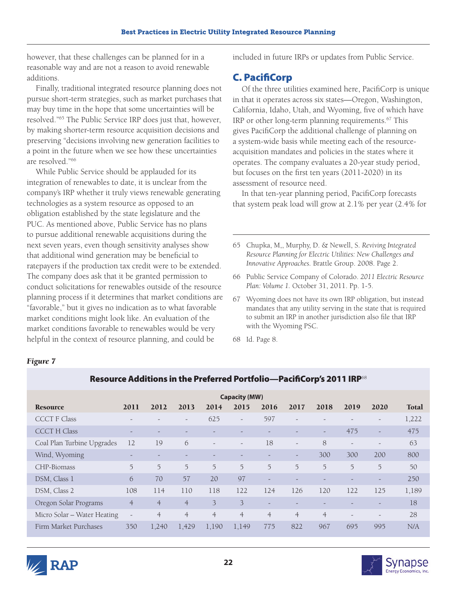however, that these challenges can be planned for in a reasonable way and are not a reason to avoid renewable additions.

Finally, traditional integrated resource planning does not pursue short-term strategies, such as market purchases that may buy time in the hope that some uncertainties will be resolved."65 The Public Service IRP does just that, however, by making shorter-term resource acquisition decisions and preserving "decisions involving new generation facilities to a point in the future when we see how these uncertainties are resolved."66

While Public Service should be applauded for its integration of renewables to date, it is unclear from the company's IRP whether it truly views renewable generating technologies as a system resource as opposed to an obligation established by the state legislature and the PUC. As mentioned above, Public Service has no plans to pursue additional renewable acquisitions during the next seven years, even though sensitivity analyses show that additional wind generation may be beneficial to ratepayers if the production tax credit were to be extended. The company does ask that it be granted permission to conduct solicitations for renewables outside of the resource planning process if it determines that market conditions are "favorable," but it gives no indication as to what favorable market conditions might look like. An evaluation of the market conditions favorable to renewables would be very helpful in the context of resource planning, and could be

included in future IRPs or updates from Public Service.

# C. PacifiCorp

Of the three utilities examined here, PacifiCorp is unique in that it operates across six states—Oregon, Washington, California, Idaho, Utah, and Wyoming, five of which have IRP or other long-term planning requirements.67 This gives PacifiCorp the additional challenge of planning on a system-wide basis while meeting each of the resourceacquisition mandates and policies in the states where it operates. The company evaluates a 20-year study period, but focuses on the first ten years (2011-2020) in its assessment of resource need.

In that ten-year planning period, PacifiCorp forecasts that system peak load will grow at 2.1% per year (2.4% for

- 65 Chupka, M,, Murphy, D. & Newell, S. *Reviving Integrated Resource Planning for Electric Utilities: New Challenges and Innovative Approaches.* Brattle Group. 2008. Page 2.
- 66 Public Service Company of Colorado. *2011 Electric Resource Plan: Volume 1.* October 31, 2011. Pp. 1-5.
- 67 Wyoming does not have its own IRP obligation, but instead mandates that any utility serving in the state that is required to submit an IRP in another jurisdiction also file that IRP with the Wyoming PSC.
- 68 Id. Page 8.

#### *Figure 7*

| <b>Capacity (MW)</b>        |                          |                |                          |                          |                          |                          |                          |                          |                          |                          |              |
|-----------------------------|--------------------------|----------------|--------------------------|--------------------------|--------------------------|--------------------------|--------------------------|--------------------------|--------------------------|--------------------------|--------------|
| <b>Resource</b>             | 2011                     | 2012           | 2013                     | 2014                     | 2015                     | 2016                     | 2017                     | 2018                     | 2019                     | 2020                     | <b>Total</b> |
| <b>CCCT F Class</b>         |                          |                | $\overline{\phantom{0}}$ | 625                      | $\overline{\phantom{a}}$ | 597                      | $\overline{\phantom{a}}$ |                          |                          |                          | 1,222        |
| <b>CCCT H Class</b>         |                          |                |                          |                          |                          |                          |                          | $\overline{\phantom{0}}$ | 475                      | $\overline{\phantom{a}}$ | 475          |
| Coal Plan Turbine Upgrades  | 12                       | 19             | 6                        | $\overline{\phantom{0}}$ | $\overline{\phantom{0}}$ | 18                       | $\overline{\phantom{a}}$ | 8                        | $\overline{\phantom{a}}$ | $\overline{\phantom{0}}$ | 63           |
| Wind, Wyoming               |                          |                |                          |                          |                          |                          | $\overline{\phantom{0}}$ | 300                      | 300                      | 200                      | 800          |
| CHP-Biomass                 | 5                        | 5              | 5                        | 5                        | 5                        | 5                        | 5                        | 5                        | 5                        | 5                        | 50           |
| DSM, Class 1                | 6                        | 70             | 57                       | 20                       | 97                       |                          |                          |                          |                          | $\overline{\phantom{0}}$ | 250          |
| DSM, Class 2                | 108                      | 114            | 110                      | 118                      | 122                      | 124                      | 126                      | 120                      | 122                      | 125                      | 1,189        |
| Oregon Solar Programs       | $\overline{4}$           | $\overline{4}$ | $\overline{4}$           | 3                        | 3                        | $\overline{\phantom{0}}$ |                          |                          |                          |                          | 18           |
| Micro Solar - Water Heating | $\overline{\phantom{a}}$ | $\overline{4}$ | $\overline{4}$           | $\overline{4}$           | $\overline{4}$           | $\overline{4}$           | $\overline{4}$           | $\overline{4}$           | $\overline{\phantom{0}}$ | $\overline{\phantom{a}}$ | 28           |
| Firm Market Purchases       | 350                      | 1,240          | 1,429                    | 1,190                    | 1.149                    | 775                      | 822                      | 967                      | 695                      | 995                      | N/A          |

# Resource Additions in the Preferred Portfolio—PacifiCorp's 2011 IRP<sup>68</sup>

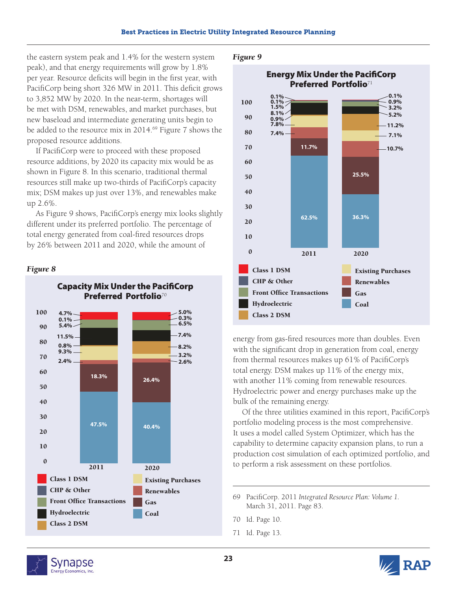the eastern system peak and 1.4% for the western system peak), and that energy requirements will grow by 1.8% per year. Resource deficits will begin in the first year, with PacifiCorp being short 326 MW in 2011. This deficit grows to 3,852 MW by 2020. In the near-term, shortages will be met with DSM, renewables, and market purchases, but new baseload and intermediate generating units begin to be added to the resource mix in 2014.<sup>69</sup> Figure 7 shows the proposed resource additions.

If PacifiCorp were to proceed with these proposed resource additions, by 2020 its capacity mix would be as shown in Figure 8. In this scenario, traditional thermal resources still make up two-thirds of PacifiCorp's capacity mix; DSM makes up just over 13%, and renewables make up 2.6%.

As Figure 9 shows, PacifiCorp's energy mix looks slightly different under its preferred portfolio. The percentage of total energy generated from coal-fired resources drops by 26% between 2011 and 2020, while the amount of

### *Figure 8*



#### *Figure 9*



energy from gas-fired resources more than doubles. Even with the significant drop in generation from coal, energy from thermal resources makes up 61% of PacifiCorp's total energy. DSM makes up 11% of the energy mix, with another 11% coming from renewable resources. Hydroelectric power and energy purchases make up the bulk of the remaining energy.

Of the three utilities examined in this report, PacifiCorp's portfolio modeling process is the most comprehensive. It uses a model called System Optimizer, which has the capability to determine capacity expansion plans, to run a production cost simulation of each optimized portfolio, and to perform a risk assessment on these portfolios.

- 69 PacifiCorp. 2011 *Integrated Resource Plan: Volume 1.* March 31, 2011. Page 83.
- 70 Id. Page 10.
- 71 Id. Page 13.



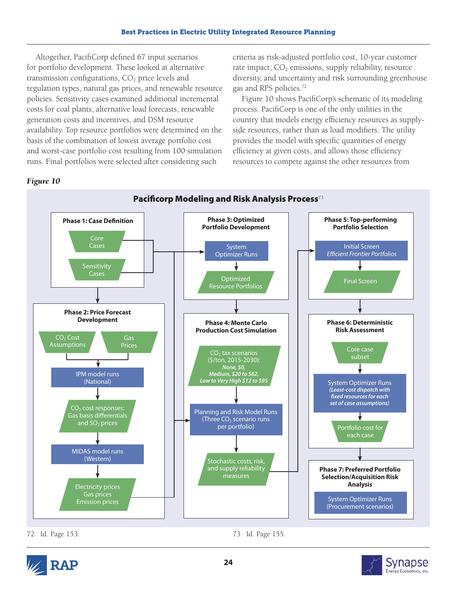Altogether, PacifiCorp defined 67 input scenarios for portfolio development. These looked at alternative transmission configurations,  $CO<sub>2</sub>$  price levels and regulation types, natural gas prices, and renewable resource policies. Sensitivity cases examined additional incremental costs for coal plants, alternative load forecasts, renewable generation costs and incentives, and DSM resource availability. Top resource portfolios were determined on the basis of the combination of lowest average portfolio cost and worst-case portfolio cost resulting from 100 simulation runs. Final portfolios were selected after considering such

criteria as risk-adjusted portfolio cost, 10-year customer rate impact,  $CO<sub>2</sub>$  emissions, supply reliability, resource diversity, and uncertainty and risk surrounding greenhouse gas and RPS policies.72

Figure 10 shows PacifiCorp's schematic of its modeling process. PacifiCorp is one of the only utilities in the country that models energy efficiency resources as supplyside resources, rather than as load modifiers. The utility provides the model with specific quantities of energy efficiency at given costs, and allows those efficiency resources to compete against the other resources from

#### *Figure 10*



72 Id. Page 153. 73 Id. Page 155.



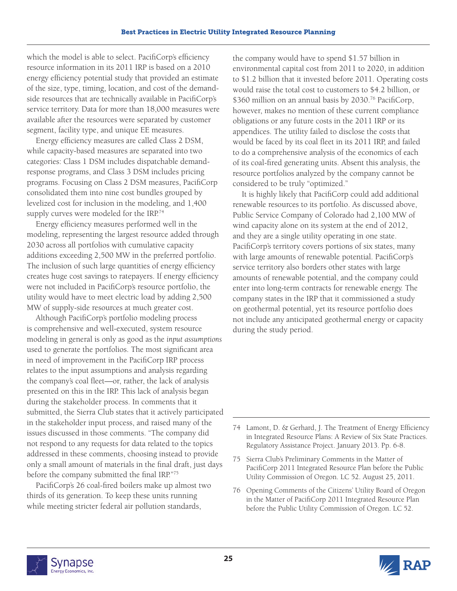which the model is able to select. PacifiCorp's efficiency resource information in its 2011 IRP is based on a 2010 energy efficiency potential study that provided an estimate of the size, type, timing, location, and cost of the demandside resources that are technically available in PacifiCorp's service territory. Data for more than 18,000 measures were available after the resources were separated by customer segment, facility type, and unique EE measures.

Energy efficiency measures are called Class 2 DSM, while capacity-based measures are separated into two categories: Class 1 DSM includes dispatchable demandresponse programs, and Class 3 DSM includes pricing programs. Focusing on Class 2 DSM measures, PacifiCorp consolidated them into nine cost bundles grouped by levelized cost for inclusion in the modeling, and 1,400 supply curves were modeled for the IRP.<sup>74</sup>

Energy efficiency measures performed well in the modeling, representing the largest resource added through 2030 across all portfolios with cumulative capacity additions exceeding 2,500 MW in the preferred portfolio. The inclusion of such large quantities of energy efficiency creates huge cost savings to ratepayers. If energy efficiency were not included in PacifiCorp's resource portfolio, the utility would have to meet electric load by adding 2,500 MW of supply-side resources at much greater cost.

Although PacifiCorp's portfolio modeling process is comprehensive and well-executed, system resource modeling in general is only as good as the *input assumptions* used to generate the portfolios. The most significant area in need of improvement in the PacifiCorp IRP process relates to the input assumptions and analysis regarding the company's coal fleet—or, rather, the lack of analysis presented on this in the IRP. This lack of analysis began during the stakeholder process. In comments that it submitted, the Sierra Club states that it actively participated in the stakeholder input process, and raised many of the issues discussed in those comments. "The company did not respond to any requests for data related to the topics addressed in these comments, choosing instead to provide only a small amount of materials in the final draft, just days before the company submitted the final IRP."75

PacifiCorp's 26 coal-fired boilers make up almost two thirds of its generation. To keep these units running while meeting stricter federal air pollution standards,

the company would have to spend \$1.57 billion in environmental capital cost from 2011 to 2020, in addition to \$1.2 billion that it invested before 2011. Operating costs would raise the total cost to customers to \$4.2 billion, or \$360 million on an annual basis by 2030.<sup>76</sup> PacifiCorp, however, makes no mention of these current compliance obligations or any future costs in the 2011 IRP or its appendices. The utility failed to disclose the costs that would be faced by its coal fleet in its 2011 IRP, and failed to do a comprehensive analysis of the economics of each of its coal-fired generating units. Absent this analysis, the resource portfolios analyzed by the company cannot be considered to be truly "optimized."

It is highly likely that PacifiCorp could add additional renewable resources to its portfolio. As discussed above, Public Service Company of Colorado had 2,100 MW of wind capacity alone on its system at the end of 2012, and they are a single utility operating in one state. PacifiCorp's territory covers portions of six states, many with large amounts of renewable potential. PacifiCorp's service territory also borders other states with large amounts of renewable potential, and the company could enter into long-term contracts for renewable energy. The company states in the IRP that it commissioned a study on geothermal potential, yet its resource portfolio does not include any anticipated geothermal energy or capacity during the study period.

- 74 Lamont, D. & Gerhard, J. The Treatment of Energy Efficiency in Integrated Resource Plans: A Review of Six State Practices. Regulatory Assistance Project. January 2013. Pp. 6-8.
- 75 Sierra Club's Preliminary Comments in the Matter of PacifiCorp 2011 Integrated Resource Plan before the Public Utility Commission of Oregon. LC 52. August 25, 2011.
- 76 Opening Comments of the Citizens' Utility Board of Oregon in the Matter of PacifiCorp 2011 Integrated Resource Plan before the Public Utility Commission of Oregon. LC 52.



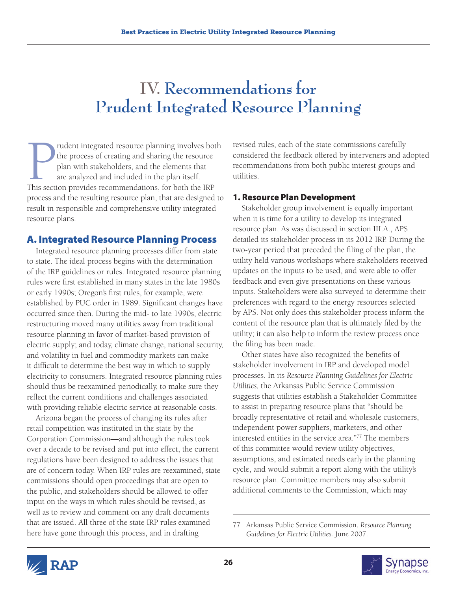# **IV. Recommendations for Prudent Integrated Resource Planning**

This section provides recommendations, for both the IRP and sharing the resource plan with stakeholders, and the elements that are analyzed and included in the plan itself.<br>This section provides recommendations, for both t rudent integrated resource planning involves both the process of creating and sharing the resource plan with stakeholders, and the elements that are analyzed and included in the plan itself. process and the resulting resource plan, that are designed to result in responsible and comprehensive utility integrated resource plans.

# A. Integrated Resource Planning Process

Integrated resource planning processes differ from state to state. The ideal process begins with the determination of the IRP guidelines or rules. Integrated resource planning rules were first established in many states in the late 1980s or early 1990s; Oregon's first rules, for example, were established by PUC order in 1989. Significant changes have occurred since then. During the mid- to late 1990s, electric restructuring moved many utilities away from traditional resource planning in favor of market-based provision of electric supply; and today, climate change, national security, and volatility in fuel and commodity markets can make it difficult to determine the best way in which to supply electricity to consumers. Integrated resource planning rules should thus be reexamined periodically, to make sure they reflect the current conditions and challenges associated with providing reliable electric service at reasonable costs.

Arizona began the process of changing its rules after retail competition was instituted in the state by the Corporation Commission—and although the rules took over a decade to be revised and put into effect, the current regulations have been designed to address the issues that are of concern today. When IRP rules are reexamined, state commissions should open proceedings that are open to the public, and stakeholders should be allowed to offer input on the ways in which rules should be revised, as well as to review and comment on any draft documents that are issued. All three of the state IRP rules examined here have gone through this process, and in drafting

revised rules, each of the state commissions carefully considered the feedback offered by interveners and adopted recommendations from both public interest groups and utilities.

# 1. Resource Plan Development

Stakeholder group involvement is equally important when it is time for a utility to develop its integrated resource plan. As was discussed in section III.A., APS detailed its stakeholder process in its 2012 IRP. During the two-year period that preceded the filing of the plan, the utility held various workshops where stakeholders received updates on the inputs to be used, and were able to offer feedback and even give presentations on these various inputs. Stakeholders were also surveyed to determine their preferences with regard to the energy resources selected by APS. Not only does this stakeholder process inform the content of the resource plan that is ultimately filed by the utility; it can also help to inform the review process once the filing has been made.

Other states have also recognized the benefits of stakeholder involvement in IRP and developed model processes. In its *Resource Planning Guidelines for Electric Utilities,* the Arkansas Public Service Commission suggests that utilities establish a Stakeholder Committee to assist in preparing resource plans that "should be broadly representative of retail and wholesale customers, independent power suppliers, marketers, and other interested entities in the service area."77 The members of this committee would review utility objectives, assumptions, and estimated needs early in the planning cycle, and would submit a report along with the utility's resource plan. Committee members may also submit additional comments to the Commission, which may





<sup>77</sup> Arkansas Public Service Commission. *Resource Planning Guidelines for Electric Utilities.* June 2007.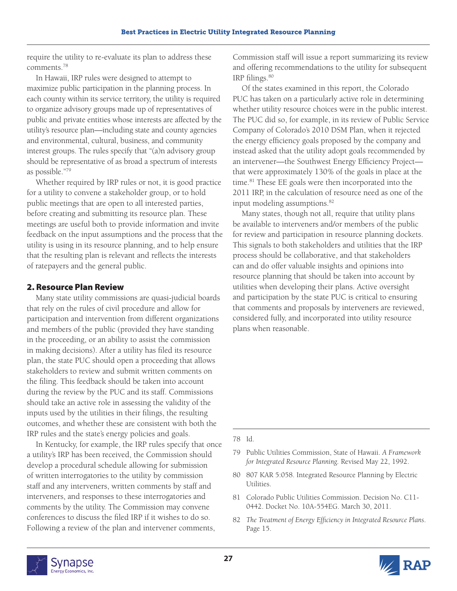require the utility to re-evaluate its plan to address these comments.78

In Hawaii, IRP rules were designed to attempt to maximize public participation in the planning process. In each county within its service territory, the utility is required to organize advisory groups made up of representatives of public and private entities whose interests are affected by the utility's resource plan—including state and county agencies and environmental, cultural, business, and community interest groups. The rules specify that "(a)n advisory group should be representative of as broad a spectrum of interests as possible."79

Whether required by IRP rules or not, it is good practice for a utility to convene a stakeholder group, or to hold public meetings that are open to all interested parties, before creating and submitting its resource plan. These meetings are useful both to provide information and invite feedback on the input assumptions and the process that the utility is using in its resource planning, and to help ensure that the resulting plan is relevant and reflects the interests of ratepayers and the general public.

# 2. Resource Plan Review

Many state utility commissions are quasi-judicial boards that rely on the rules of civil procedure and allow for participation and intervention from different organizations and members of the public (provided they have standing in the proceeding, or an ability to assist the commission in making decisions). After a utility has filed its resource plan, the state PUC should open a proceeding that allows stakeholders to review and submit written comments on the filing. This feedback should be taken into account during the review by the PUC and its staff. Commissions should take an active role in assessing the validity of the inputs used by the utilities in their filings, the resulting outcomes, and whether these are consistent with both the IRP rules and the state's energy policies and goals.

In Kentucky, for example, the IRP rules specify that once a utility's IRP has been received, the Commission should develop a procedural schedule allowing for submission of written interrogatories to the utility by commission staff and any interveners, written comments by staff and interveners, and responses to these interrogatories and comments by the utility. The Commission may convene conferences to discuss the filed IRP if it wishes to do so. Following a review of the plan and intervener comments,

Commission staff will issue a report summarizing its review and offering recommendations to the utility for subsequent IRP filings.<sup>80</sup>

Of the states examined in this report, the Colorado PUC has taken on a particularly active role in determining whether utility resource choices were in the public interest. The PUC did so, for example, in its review of Public Service Company of Colorado's 2010 DSM Plan, when it rejected the energy efficiency goals proposed by the company and instead asked that the utility adopt goals recommended by an intervener—the Southwest Energy Efficiency Project that were approximately 130% of the goals in place at the time.<sup>81</sup> These EE goals were then incorporated into the 2011 IRP, in the calculation of resource need as one of the input modeling assumptions.82

Many states, though not all, require that utility plans be available to interveners and/or members of the public for review and participation in resource planning dockets. This signals to both stakeholders and utilities that the IRP process should be collaborative, and that stakeholders can and do offer valuable insights and opinions into resource planning that should be taken into account by utilities when developing their plans. Active oversight and participation by the state PUC is critical to ensuring that comments and proposals by interveners are reviewed, considered fully, and incorporated into utility resource plans when reasonable.

#### 78 Id.

- 79 Public Utilities Commission, State of Hawaii. *A Framework for Integrated Resource Planning.* Revised May 22, 1992.
- 80 807 KAR 5:058. Integrated Resource Planning by Electric Utilities.
- 81 Colorado Public Utilities Commission. Decision No. C11- 0442. Docket No. 10A-554EG. March 30, 2011.
- 82 *The Treatment of Energy Efficiency in Integrated Resource Plans*. Page 15.



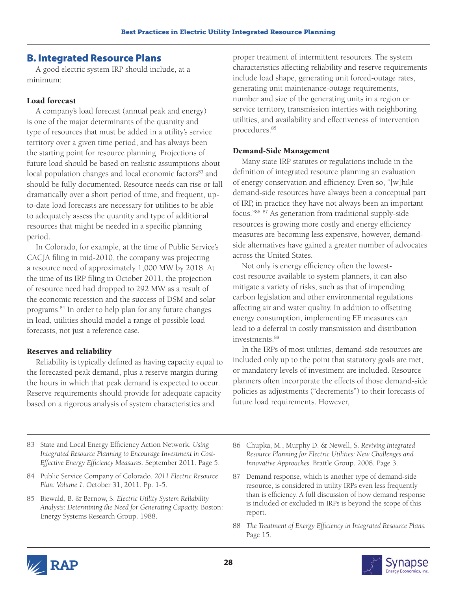# B. Integrated Resource Plans

A good electric system IRP should include, at a minimum:

# Load forecast

A company's load forecast (annual peak and energy) is one of the major determinants of the quantity and type of resources that must be added in a utility's service territory over a given time period, and has always been the starting point for resource planning. Projections of future load should be based on realistic assumptions about local population changes and local economic factors<sup>83</sup> and should be fully documented. Resource needs can rise or fall dramatically over a short period of time, and frequent, upto-date load forecasts are necessary for utilities to be able to adequately assess the quantity and type of additional resources that might be needed in a specific planning period.

In Colorado, for example, at the time of Public Service's CACJA filing in mid-2010, the company was projecting a resource need of approximately 1,000 MW by 2018. At the time of its IRP filing in October 2011, the projection of resource need had dropped to 292 MW as a result of the economic recession and the success of DSM and solar programs.84 In order to help plan for any future changes in load, utilities should model a range of possible load forecasts, not just a reference case.

# Reserves and reliability

Reliability is typically defined as having capacity equal to the forecasted peak demand, plus a reserve margin during the hours in which that peak demand is expected to occur. Reserve requirements should provide for adequate capacity based on a rigorous analysis of system characteristics and

proper treatment of intermittent resources. The system characteristics affecting reliability and reserve requirements include load shape, generating unit forced-outage rates, generating unit maintenance-outage requirements, number and size of the generating units in a region or service territory, transmission interties with neighboring utilities, and availability and effectiveness of intervention procedures.85

### Demand-Side Management

Many state IRP statutes or regulations include in the definition of integrated resource planning an evaluation of energy conservation and efficiency. Even so, "[w]hile demand-side resources have always been a conceptual part of IRP, in practice they have not always been an important focus."86, 87 As generation from traditional supply-side resources is growing more costly and energy efficiency measures are becoming less expensive, however, demandside alternatives have gained a greater number of advocates across the United States.

Not only is energy efficiency often the lowestcost resource available to system planners, it can also mitigate a variety of risks, such as that of impending carbon legislation and other environmental regulations affecting air and water quality. In addition to offsetting energy consumption, implementing EE measures can lead to a deferral in costly transmission and distribution investments<sup>88</sup>

In the IRPs of most utilities, demand-side resources are included only up to the point that statutory goals are met, or mandatory levels of investment are included. Resource planners often incorporate the effects of those demand-side policies as adjustments ("decrements") to their forecasts of future load requirements. However,

- 83 State and Local Energy Efficiency Action Network. *Using Integrated Resource Planning to Encourage Investment in Cost-Effective Energy Efficiency Measures.* September 2011. Page 5.
- 84 Public Service Company of Colorado. *2011 Electric Resource Plan: Volume 1.* October 31, 2011. Pp. 1-5.
- 85 Biewald, B. & Bernow, S. *Electric Utility System Reliability Analysis: Determining the Need for Generating Capacity.* Boston: Energy Systems Research Group. 1988.
- 86 Chupka, M., Murphy D. & Newell, S. *Reviving Integrated Resource Planning for Electric Utilities: New Challenges and Innovative Approaches.* Brattle Group. 2008. Page 3.
- 87 Demand response, which is another type of demand-side resource, is considered in utility IRPs even less frequently than is efficiency. A full discussion of how demand response is included or excluded in IRPs is beyond the scope of this report.
- 88 *The Treatment of Energy Efficiency in Integrated Resource Plans.* Page 15.



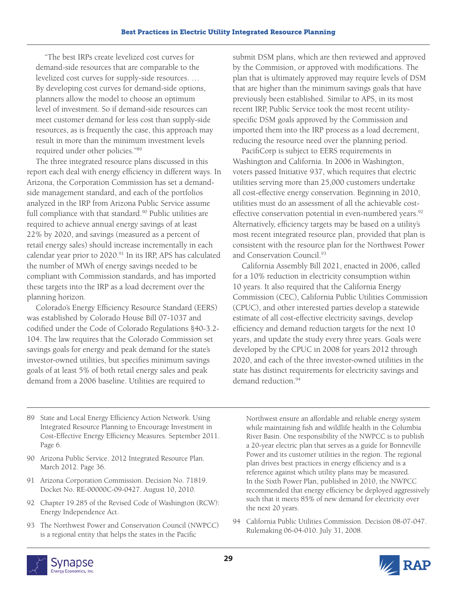"The best IRPs create levelized cost curves for demand-side resources that are comparable to the levelized cost curves for supply-side resources. … By developing cost curves for demand-side options, planners allow the model to choose an optimum level of investment. So if demand-side resources can meet customer demand for less cost than supply-side resources, as is frequently the case, this approach may result in more than the minimum investment levels required under other policies."89

The three integrated resource plans discussed in this report each deal with energy efficiency in different ways. In Arizona, the Corporation Commission has set a demandside management standard, and each of the portfolios analyzed in the IRP from Arizona Public Service assume full compliance with that standard.<sup>90</sup> Public utilities are required to achieve annual energy savings of at least 22% by 2020, and savings (measured as a percent of retail energy sales) should increase incrementally in each calendar year prior to 2020.<sup>91</sup> In its IRP, APS has calculated the number of MWh of energy savings needed to be compliant with Commission standards, and has imported these targets into the IRP as a load decrement over the planning horizon.

Colorado's Energy Efficiency Resource Standard (EERS) was established by Colorado House Bill 07-1037 and codified under the Code of Colorado Regulations §40-3.2- 104. The law requires that the Colorado Commission set savings goals for energy and peak demand for the state's investor-owned utilities, but specifies minimum savings goals of at least 5% of both retail energy sales and peak demand from a 2006 baseline. Utilities are required to

submit DSM plans, which are then reviewed and approved by the Commision, or approved with modifications. The plan that is ultimately approved may require levels of DSM that are higher than the minimum savings goals that have previously been established. Similar to APS, in its most recent IRP, Public Service took the most recent utilityspecific DSM goals approved by the Commission and imported them into the IRP process as a load decrement, reducing the resource need over the planning period.

PacifiCorp is subject to EERS requirements in Washington and California. In 2006 in Washington, voters passed Initiative 937, which requires that electric utilities serving more than 25,000 customers undertake all cost-effective energy conservation. Beginning in 2010, utilities must do an assessment of all the achievable costeffective conservation potential in even-numbered years.<sup>92</sup> Alternatively, efficiency targets may be based on a utility's most recent integrated resource plan, provided that plan is consistent with the resource plan for the Northwest Power and Conservation Council.<sup>93</sup>

California Assembly Bill 2021, enacted in 2006, called for a 10% reduction in electricity consumption within 10 years. It also required that the California Energy Commission (CEC), California Public Utilities Commission (CPUC), and other interested parties develop a statewide estimate of all cost-effective electricity savings, develop efficiency and demand reduction targets for the next 10 years, and update the study every three years. Goals were developed by the CPUC in 2008 for years 2012 through 2020, and each of the three investor-owned utilities in the state has distinct requirements for electricity savings and demand reduction.<sup>94</sup>

- 89 State and Local Energy Efficiency Action Network. Using Integrated Resource Planning to Encourage Investment in Cost-Effective Energy Efficiency Measures. September 2011. Page 6.
- 90 Arizona Public Service. 2012 Integrated Resource Plan. March 2012. Page 36.
- 91 Arizona Corporation Commission. Decision No. 71819. Docket No. RE-00000C-09-0427. August 10, 2010.
- 92 Chapter 19.285 of the Revised Code of Washington (RCW): Energy Independence Act.
- 93 The Northwest Power and Conservation Council (NWPCC) is a regional entity that helps the states in the Pacific

Northwest ensure an affordable and reliable energy system while maintaining fish and wildlife health in the Columbia River Basin. One responsibility of the NWPCC is to publish a 20-year electric plan that serves as a guide for Bonneville Power and its customer utilities in the region. The regional plan drives best practices in energy efficiency and is a reference against which utility plans may be measured. In the Sixth Power Plan, published in 2010, the NWPCC recommended that energy efficiency be deployed aggressively such that it meets 85% of new demand for electricity over the next 20 years.

94 California Public Utilities Commission. Decision 08-07-047. Rulemaking 06-04-010. July 31, 2008.



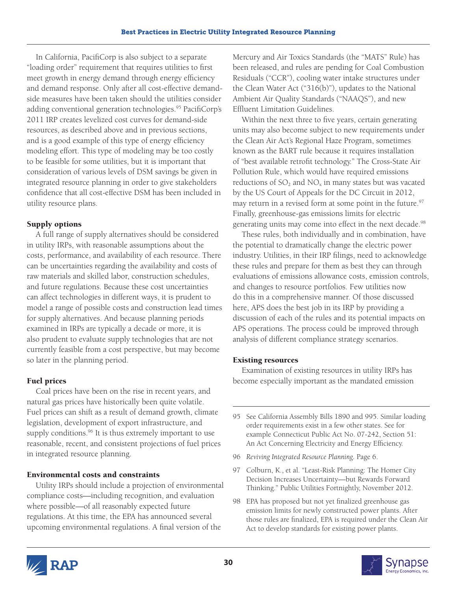In California, PacifiCorp is also subject to a separate "loading order" requirement that requires utilities to first meet growth in energy demand through energy efficiency and demand response. Only after all cost-effective demandside measures have been taken should the utilities consider adding conventional generation technologies.<sup>95</sup> PacifiCorp's 2011 IRP creates levelized cost curves for demand-side resources, as described above and in previous sections, and is a good example of this type of energy efficiency modeling effort. This type of modeling may be too costly to be feasible for some utilities, but it is important that consideration of various levels of DSM savings be given in integrated resource planning in order to give stakeholders confidence that all cost-effective DSM has been included in utility resource plans.

# Supply options

A full range of supply alternatives should be considered in utility IRPs, with reasonable assumptions about the costs, performance, and availability of each resource. There can be uncertainties regarding the availability and costs of raw materials and skilled labor, construction schedules, and future regulations. Because these cost uncertainties can affect technologies in different ways, it is prudent to model a range of possible costs and construction lead times for supply alternatives. And because planning periods examined in IRPs are typically a decade or more, it is also prudent to evaluate supply technologies that are not currently feasible from a cost perspective, but may become so later in the planning period.

# Fuel prices

Coal prices have been on the rise in recent years, and natural gas prices have historically been quite volatile. Fuel prices can shift as a result of demand growth, climate legislation, development of export infrastructure, and supply conditions.<sup>96</sup> It is thus extremely important to use reasonable, recent, and consistent projections of fuel prices in integrated resource planning.

# Environmental costs and constraints

Utility IRPs should include a projection of environmental compliance costs—including recognition, and evaluation where possible—of all reasonably expected future regulations. At this time, the EPA has announced several upcoming environmental regulations. A final version of the

Mercury and Air Toxics Standards (the "MATS" Rule) has been released, and rules are pending for Coal Combustion Residuals ("CCR"), cooling water intake structures under the Clean Water Act ("316(b)"), updates to the National Ambient Air Quality Standards ("NAAQS"), and new Effluent Limitation Guidelines.

Within the next three to five years, certain generating units may also become subject to new requirements under the Clean Air Act's Regional Haze Program, sometimes known as the BART rule because it requires installation of "best available retrofit technology." The Cross-State Air Pollution Rule, which would have required emissions reductions of  $SO_2$  and  $NO_x$  in many states but was vacated by the US Court of Appeals for the DC Circuit in 2012, may return in a revised form at some point in the future.<sup>97</sup> Finally, greenhouse-gas emissions limits for electric generating units may come into effect in the next decade.<sup>98</sup>

These rules, both individually and in combination, have the potential to dramatically change the electric power industry. Utilities, in their IRP filings, need to acknowledge these rules and prepare for them as best they can through evaluations of emissions allowance costs, emission controls, and changes to resource portfolios. Few utilities now do this in a comprehensive manner. Of those discussed here, APS does the best job in its IRP by providing a discussion of each of the rules and its potential impacts on APS operations. The process could be improved through analysis of different compliance strategy scenarios.

### Existing resources

Examination of existing resources in utility IRPs has become especially important as the mandated emission

- 95 See California Assembly Bills 1890 and 995. Similar loading order requirements exist in a few other states. See for example Connecticut Public Act No. 07-242, Section 51: An Act Concerning Electricity and Energy Efficiency.
- 96 *Reviving Integrated Resource Planning.* Page 6.
- 97 Colburn, K., et al. "Least-Risk Planning: The Homer City Decision Increases Uncertainty—but Rewards Forward Thinking." Public Utilities Fortnightly, November 2012.
- 98 EPA has proposed but not yet finalized greenhouse gas emission limits for newly constructed power plants. After those rules are finalized, EPA is required under the Clean Air Act to develop standards for existing power plants.



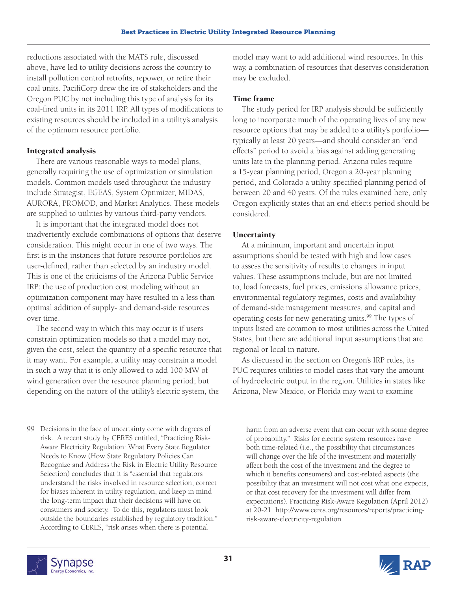reductions associated with the MATS rule, discussed above, have led to utility decisions across the country to install pollution control retrofits, repower, or retire their coal units. PacifiCorp drew the ire of stakeholders and the Oregon PUC by not including this type of analysis for its coal-fired units in its 2011 IRP. All types of modifications to existing resources should be included in a utility's analysis of the optimum resource portfolio.

### Integrated analysis

There are various reasonable ways to model plans, generally requiring the use of optimization or simulation models. Common models used throughout the industry include Strategist, EGEAS, System Optimizer, MIDAS, AURORA, PROMOD, and Market Analytics. These models are supplied to utilities by various third-party vendors.

It is important that the integrated model does not inadvertently exclude combinations of options that deserve consideration. This might occur in one of two ways. The first is in the instances that future resource portfolios are user-defined, rather than selected by an industry model. This is one of the criticisms of the Arizona Public Service IRP: the use of production cost modeling without an optimization component may have resulted in a less than optimal addition of supply- and demand-side resources over time.

The second way in which this may occur is if users constrain optimization models so that a model may not, given the cost, select the quantity of a specific resource that it may want. For example, a utility may constrain a model in such a way that it is only allowed to add 100 MW of wind generation over the resource planning period; but depending on the nature of the utility's electric system, the

model may want to add additional wind resources. In this way, a combination of resources that deserves consideration may be excluded.

# Time frame

The study period for IRP analysis should be sufficiently long to incorporate much of the operating lives of any new resource options that may be added to a utility's portfolio typically at least 20 years—and should consider an "end effects" period to avoid a bias against adding generating units late in the planning period. Arizona rules require a 15-year planning period, Oregon a 20-year planning period, and Colorado a utility-specified planning period of between 20 and 40 years. Of the rules examined here, only Oregon explicitly states that an end effects period should be considered.

# **Uncertainty**

At a minimum, important and uncertain input assumptions should be tested with high and low cases to assess the sensitivity of results to changes in input values. These assumptions include, but are not limited to, load forecasts, fuel prices, emissions allowance prices, environmental regulatory regimes, costs and availability of demand-side management measures, and capital and operating costs for new generating units.<sup>99</sup> The types of inputs listed are common to most utilities across the United States, but there are additional input assumptions that are regional or local in nature.

As discussed in the section on Oregon's IRP rules, its PUC requires utilities to model cases that vary the amount of hydroelectric output in the region. Utilities in states like Arizona, New Mexico, or Florida may want to examine

99 Decisions in the face of uncertainty come with degrees of risk. A recent study by CERES entitled, "Practicing Risk-Aware Electricity Regulation: What Every State Regulator Needs to Know (How State Regulatory Policies Can Recognize and Address the Risk in Electric Utility Resource Selection) concludes that it is "essential that regulators understand the risks involved in resource selection, correct for biases inherent in utility regulation, and keep in mind the long-term impact that their decisions will have on consumers and society. To do this, regulators must look outside the boundaries established by regulatory tradition." According to CERES, "risk arises when there is potential

harm from an adverse event that can occur with some degree of probability." Risks for electric system resources have both time-related (i.e., the possibility that circumstances will change over the life of the investment and materially affect both the cost of the investment and the degree to which it benefits consumers) and cost-related aspects (the possibility that an investment will not cost what one expects, or that cost recovery for the investment will differ from expectations). Practicing Risk-Aware Regulation (April 2012) at 20-21 [http://www.ceres.org/resources/reports/practicing]( http://www.ceres.org/resources/reports/practicing-risk-aware-electricity-regulation)[risk-aware-electricity-regulation]( http://www.ceres.org/resources/reports/practicing-risk-aware-electricity-regulation)



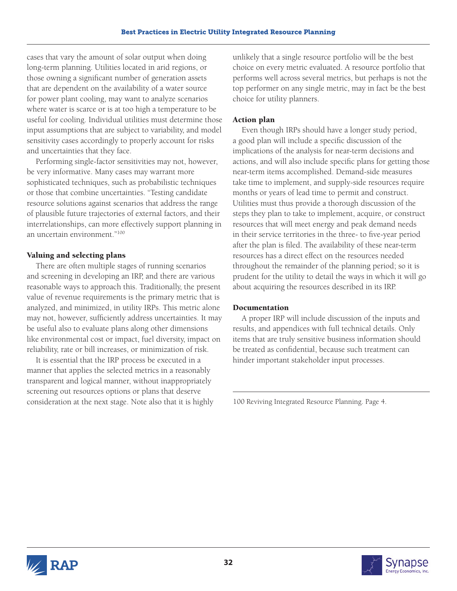cases that vary the amount of solar output when doing long-term planning. Utilities located in arid regions, or those owning a significant number of generation assets that are dependent on the availability of a water source for power plant cooling, may want to analyze scenarios where water is scarce or is at too high a temperature to be useful for cooling. Individual utilities must determine those input assumptions that are subject to variability, and model sensitivity cases accordingly to properly account for risks and uncertainties that they face.

Performing single-factor sensitivities may not, however, be very informative. Many cases may warrant more sophisticated techniques, such as probabilistic techniques or those that combine uncertainties. "Testing candidate resource solutions against scenarios that address the range of plausible future trajectories of external factors, and their interrelationships, can more effectively support planning in an uncertain environment."100

# Valuing and selecting plans

There are often multiple stages of running scenarios and screening in developing an IRP, and there are various reasonable ways to approach this. Traditionally, the present value of revenue requirements is the primary metric that is analyzed, and minimized, in utility IRPs. This metric alone may not, however, sufficiently address uncertainties. It may be useful also to evaluate plans along other dimensions like environmental cost or impact, fuel diversity, impact on reliability, rate or bill increases, or minimization of risk.

It is essential that the IRP process be executed in a manner that applies the selected metrics in a reasonably transparent and logical manner, without inappropriately screening out resources options or plans that deserve consideration at the next stage. Note also that it is highly unlikely that a single resource portfolio will be the best choice on every metric evaluated. A resource portfolio that performs well across several metrics, but perhaps is not the top performer on any single metric, may in fact be the best choice for utility planners.

# Action plan

Even though IRPs should have a longer study period, a good plan will include a specific discussion of the implications of the analysis for near-term decisions and actions, and will also include specific plans for getting those near-term items accomplished. Demand-side measures take time to implement, and supply-side resources require months or years of lead time to permit and construct. Utilities must thus provide a thorough discussion of the steps they plan to take to implement, acquire, or construct resources that will meet energy and peak demand needs in their service territories in the three- to five-year period after the plan is filed. The availability of these near-term resources has a direct effect on the resources needed throughout the remainder of the planning period; so it is prudent for the utility to detail the ways in which it will go about acquiring the resources described in its IRP.

### Documentation

A proper IRP will include discussion of the inputs and results, and appendices with full technical details. Only items that are truly sensitive business information should be treated as confidential, because such treatment can hinder important stakeholder input processes.

100 Reviving Integrated Resource Planning. Page 4.



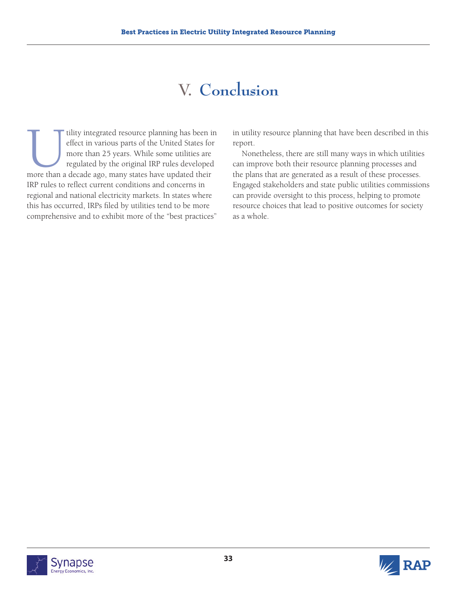# **V. Conclusion**

Utility integrated resource planning has been in effect in various parts of the United States for more than 25 years. While some utilities are regulated by the original IRP rules developed more than a decade ago, many stat effect in various parts of the United States for more than 25 years. While some utilities are regulated by the original IRP rules developed IRP rules to reflect current conditions and concerns in regional and national electricity markets. In states where this has occurred, IRPs filed by utilities tend to be more comprehensive and to exhibit more of the "best practices"

in utility resource planning that have been described in this report.

Nonetheless, there are still many ways in which utilities can improve both their resource planning processes and the plans that are generated as a result of these processes. Engaged stakeholders and state public utilities commissions can provide oversight to this process, helping to promote resource choices that lead to positive outcomes for society as a whole.



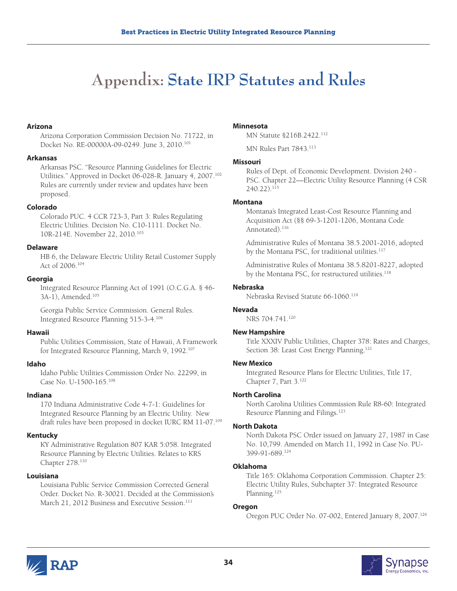# **Appendix: State IRP Statutes and Rules**

#### **Arizona**

Arizona Corporation Commission Decision No. 71722, in Docket No. RE-00000A-09-0249. June 3, 2010.101

#### **Arkansas**

Arkansas PSC. "Resource Planning Guidelines for Electric Utilities." Approved in Docket 06-028-R. January 4, 2007.102 Rules are currently under review and updates have been proposed.

#### **Colorado**

Colorado PUC. 4 CCR 723-3, Part 3: Rules Regulating Electric Utilities. Decision No. C10-1111. Docket No. 10R-214E. November 22, 2010.103

#### **Delaware**

HB 6, the Delaware Electric Utility Retail Customer Supply Act of 2006.104

#### **Georgia**

Integrated Resource Planning Act of 1991 (O.C.G.A. § 46- 3A-1), Amended.105

Georgia Public Service Commission. General Rules. Integrated Resource Planning 515-3-4.106

#### **Hawaii**

Public Utilities Commission, State of Hawaii, A Framework for Integrated Resource Planning, March 9, 1992.<sup>107</sup>

#### **Idaho**

Idaho Public Utilities Commission Order No. 22299, in Case No. U-1500-165.108

#### **Indiana**

170 Indiana Administrative Code 4-7-1: Guidelines for Integrated Resource Planning by an Electric Utility. New draft rules have been proposed in docket IURC RM 11-07.109

#### **Kentucky**

KY Administrative Regulation 807 KAR 5:058. Integrated Resource Planning by Electric Utilities. Relates to KRS Chapter 278.110

#### **Louisiana**

Louisiana Public Service Commission Corrected General Order. Docket No. R-30021. Decided at the Commission's March 21, 2012 Business and Executive Session.<sup>111</sup>

#### **Minnesota**

MN Statute §216B.2422.112

MN Rules Part 7843.<sup>113</sup>

#### **Missouri**

Rules of Dept. of Economic Development. Division 240 - PSC. Chapter 22—Electric Utility Resource Planning (4 CSR 240.22).115

#### **Montana**

Montana's Integrated Least-Cost Resource Planning and Acquisition Act (§§ 69-3-1201-1206, Montana Code Annotated).<sup>116</sup>

Administrative Rules of Montana 38.5.2001-2016, adopted by the Montana PSC, for traditional utilities.<sup>117</sup>

Administrative Rules of Montana 38.5.8201-8227, adopted by the Montana PSC, for restructured utilities.<sup>118</sup>

#### **Nebraska**

Nebraska Revised Statute 66-1060.<sup>119</sup>

#### **Nevada**

NRS 704.741.120

#### **New Hampshire**

Title XXXIV Public Utilities, Chapter 378: Rates and Charges, Section 38: Least Cost Energy Planning.<sup>121</sup>

#### **New Mexico**

Integrated Resource Plans for Electric Utilities, Title 17, Chapter 7, Part 3.122

#### **North Carolina**

North Carolina Utilities Commission Rule R8-60: Integrated Resource Planning and Filings.<sup>123</sup>

#### **North Dakota**

North Dakota PSC Order issued on January 27, 1987 in Case No. 10,799. Amended on March 11, 1992 in Case No. PU-399-91-689.124

#### **Oklahoma**

Title 165: Oklahoma Corporation Commission. Chapter 25: Electric Utility Rules, Subchapter 37: Integrated Resource Planning.<sup>125</sup>

#### **Oregon**

Oregon PUC Order No. 07-002, Entered January 8, 2007.<sup>126</sup>



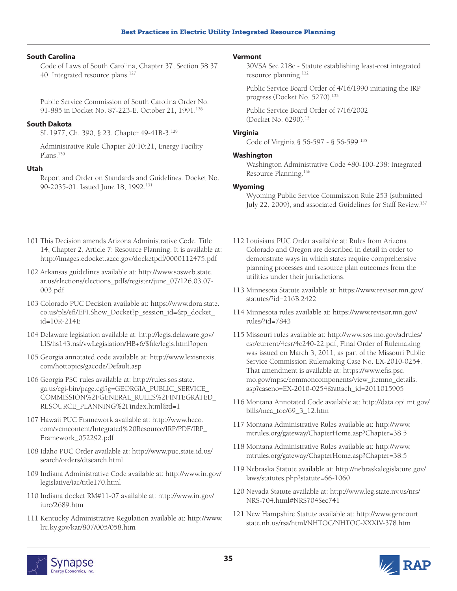#### **South Carolina**

Code of Laws of South Carolina, Chapter 37, Section 58 37 40. Integrated resource plans.127

Public Service Commission of South Carolina Order No. 91-885 in Docket No. 87-223-E. October 21, 1991.<sup>128</sup>

#### **South Dakota**

SL 1977, Ch. 390, § 23. Chapter 49-41B-3.129

Administrative Rule Chapter 20:10:21, Energy Facility Plans.<sup>130</sup>

#### **Utah**

Report and Order on Standards and Guidelines. Docket No. 90-2035-01. Issued June 18, 1992.<sup>131</sup>

#### **Vermont**

30VSA Sec 218c - Statute establishing least-cost integrated resource planning.132

Public Service Board Order of 4/16/1990 initiating the IRP progress (Docket No. 5270).<sup>133</sup>

Public Service Board Order of 7/16/2002 (Docket No. 6290).134

#### **Virginia**

Code of Virginia § 56-597 - § 56-599.135

#### **Washington**

Washington Administrative Code 480-100-238: Integrated Resource Planning.136

#### **Wyoming**

Wyoming Public Service Commission Rule 253 (submitted July 22, 2009), and associated Guidelines for Staff Review.<sup>137</sup>

- 101 This Decision amends Arizona Administrative Code, Title 14, Chapter 2, Article 7: Resource Planning. It is available at: <http://images.edocket.azcc.gov/docketpdf/0000112475.pdf>
- 102 Arkansas guidelines available at: [http://www.sosweb.state.](http://www.sosweb.state.ar.us/elections/elections_pdfs/register/june_07/126.03.07-003.pdf) [ar.us/elections/elections\\_pdfs/register/june\\_07/126.03.07-](http://www.sosweb.state.ar.us/elections/elections_pdfs/register/june_07/126.03.07-003.pdf) [003.pdf](http://www.sosweb.state.ar.us/elections/elections_pdfs/register/june_07/126.03.07-003.pdf)
- 103 Colorado PUC Decision available at: [https://www.dora.state.](https://www.dora.state.co.us/pls/efi/EFI.Show_Docket?p_session_id=&p_docket_id=10R-214E) [co.us/pls/efi/EFI.Show\\_Docket?p\\_session\\_id=&p\\_docket\\_](https://www.dora.state.co.us/pls/efi/EFI.Show_Docket?p_session_id=&p_docket_id=10R-214E) [id=10R-214E](https://www.dora.state.co.us/pls/efi/EFI.Show_Docket?p_session_id=&p_docket_id=10R-214E)
- 104 Delaware legislation available at: [http://legis.delaware.gov/](http://legis.delaware.gov/LIS/lis143.nsf/vwLegislation/HB+6/$file/legis.html?open) [LIS/lis143.nsf/vwLegislation/HB+6/\\$file/legis.html?open](http://legis.delaware.gov/LIS/lis143.nsf/vwLegislation/HB+6/$file/legis.html?open)
- 105 Georgia annotated code available at: [http://www.lexisnexis.](http://www.lexisnexis.com/hottopics/gacode/Default.asp) [com/hottopics/gacode/Default.asp](http://www.lexisnexis.com/hottopics/gacode/Default.asp)
- 106 Georgia PSC rules available at: [http://rules.sos.state.](http://rules.sos.state.ga.us/cgi-bin/page.cgi?g=GEORGIA_PUBLIC_SERVICE_COMMISSION%2FGENERAL_RULES%2FINTEGRATED_RESOURCE_PLANNING%2Findex.html&d=1) [ga.us/cgi-bin/page.cgi?g=GEORGIA\\_PUBLIC\\_SERVICE\\_](http://rules.sos.state.ga.us/cgi-bin/page.cgi?g=GEORGIA_PUBLIC_SERVICE_COMMISSION%2FGENERAL_RULES%2FINTEGRATED_RESOURCE_PLANNING%2Findex.html&d=1) [COMMISSION%2FGENERAL\\_RULES%2FINTEGRATED\\_](http://rules.sos.state.ga.us/cgi-bin/page.cgi?g=GEORGIA_PUBLIC_SERVICE_COMMISSION%2FGENERAL_RULES%2FINTEGRATED_RESOURCE_PLANNING%2Findex.html&d=1) [RESOURCE\\_PLANNING%2Findex.html&d=1](http://rules.sos.state.ga.us/cgi-bin/page.cgi?g=GEORGIA_PUBLIC_SERVICE_COMMISSION%2FGENERAL_RULES%2FINTEGRATED_RESOURCE_PLANNING%2Findex.html&d=1)
- 107 Hawaii PUC Framework available at: [http://www.heco.](http://www.heco.com/vcmcontent/Integrated%20Resource/IRP/PDF/IRP_Framework_052292.pdf) [com/vcmcontent/Integrated%20Resource/IRP/PDF/IRP\\_](http://www.heco.com/vcmcontent/Integrated%20Resource/IRP/PDF/IRP_Framework_052292.pdf) [Framework\\_052292.pdf](http://www.heco.com/vcmcontent/Integrated%20Resource/IRP/PDF/IRP_Framework_052292.pdf)
- 108 Idaho PUC Order available at: [http://www.puc.state.id.us/](http://www.puc.state.id.us/search/orders/dtsearch.html) [search/orders/dtsearch.html](http://www.puc.state.id.us/search/orders/dtsearch.html)
- 109 Indiana Administrative Code available at: [http://www.in.gov/](http://www.in.gov/legislative/iac/title170.html) [legislative/iac/title170.html](http://www.in.gov/legislative/iac/title170.html)
- 110 Indiana docket RM#11-07 available at: [http://www.in.gov/](http://www.in.gov/iurc/2689.htm) [iurc/2689.htm](http://www.in.gov/iurc/2689.htm)
- 111 Kentucky Administrative Regulation available at: [http://www.](http://www.lrc.ky.gov/kar/807/005/058.htm) [lrc.ky.gov/kar/807/005/058.htm](http://www.lrc.ky.gov/kar/807/005/058.htm)
- 112 Louisiana PUC Order available at: Rules from Arizona, Colorado and Oregon are described in detail in order to demonstrate ways in which states require comprehensive planning processes and resource plan outcomes from the utilities under their jurisdictions.
- 113 Minnesota Statute available at: [https://www.revisor.mn.gov/](https://www.revisor.mn.gov/statutes/?id=216B.2422) [statutes/?id=216B.2422](https://www.revisor.mn.gov/statutes/?id=216B.2422)
- 114 Minnesota rules available at: [https://www.revisor.mn.gov/](https://www.revisor.mn.gov/rules/?id=7843) [rules/?id=7843](https://www.revisor.mn.gov/rules/?id=7843)
- 115 Missouri rules available at: [http://www.sos.mo.gov/adrules/](http://www.sos.mo.gov/adrules/csr/current/4csr/4c240-22.pdf) [csr/current/4csr/4c240-22.pdf](http://www.sos.mo.gov/adrules/csr/current/4csr/4c240-22.pdf), Final Order of Rulemaking was issued on March 3, 2011, as part of the Missouri Public Service Commission Rulemaking Case No. EX-2010-0254. That amendment is available at: [https://www.efis.psc.](https://www.efis.psc.mo.gov/mpsc/commoncomponents/view_itemno_details.asp?caseno=EX-2010-0254&attach_id=2011015905) [mo.gov/mpsc/commoncomponents/view\\_itemno\\_details.](https://www.efis.psc.mo.gov/mpsc/commoncomponents/view_itemno_details.asp?caseno=EX-2010-0254&attach_id=2011015905) [asp?caseno=EX-2010-0254&attach\\_id=2011015905](https://www.efis.psc.mo.gov/mpsc/commoncomponents/view_itemno_details.asp?caseno=EX-2010-0254&attach_id=2011015905)
- 116 Montana Annotated Code available at: [http://data.opi.mt.gov/](http://data.opi.mt.gov/bills/mca_toc/69_3_12.htm) [bills/mca\\_toc/69\\_3\\_12.htm](http://data.opi.mt.gov/bills/mca_toc/69_3_12.htm)
- 117 Montana Administrative Rules available at: [http://www.](http://www.mtrules.org/gateway/ChapterHome.asp?Chapter=38.5) [mtrules.org/gateway/ChapterHome.asp?Chapter=38.5](http://www.mtrules.org/gateway/ChapterHome.asp?Chapter=38.5)
- 118 Montana Administrative Rules available at: [http://www.](http://www.mtrules.org/gateway/ChapterHome.asp?Chapter=38.5) [mtrules.org/gateway/ChapterHome.asp?Chapter=38.5](http://www.mtrules.org/gateway/ChapterHome.asp?Chapter=38.5)
- 119 Nebraska Statute available at: [http://nebraskalegislature.gov/](http://nebraskalegislature.gov/laws/statutes.php?statute=66-1060) [laws/statutes.php?statute=66-1060](http://nebraskalegislature.gov/laws/statutes.php?statute=66-1060)
- 120 Nevada Statute available at: [http://www.leg.state.nv.us/nrs/](http://www.leg.state.nv.us/nrs/NRS-704.html#NRS704Sec741) [NRS-704.html#NRS704Sec741](http://www.leg.state.nv.us/nrs/NRS-704.html#NRS704Sec741)
- 121 New Hampshire Statute available at: [http://www.gencourt.](http://www.gencourt.state.nh.us/rsa/html/NHTOC/NHTOC-XXXIV-378.htm) [state.nh.us/rsa/html/NHTOC/NHTOC-XXXIV-378.htm](http://www.gencourt.state.nh.us/rsa/html/NHTOC/NHTOC-XXXIV-378.htm)



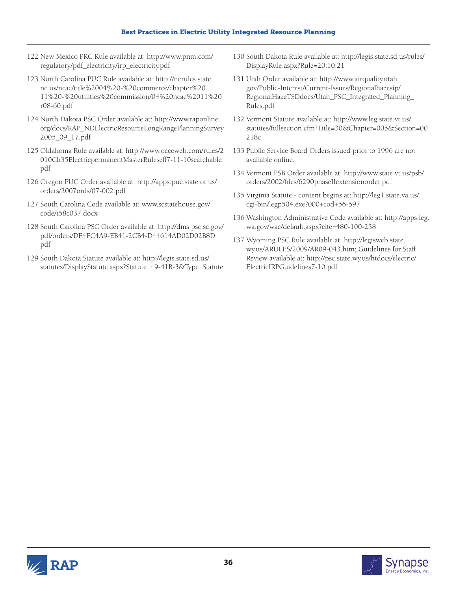- 122 New Mexico PRC Rule available at: [http://www.pnm.com/](http://www.pnm.com/regulatory/pdf_electricity/irp_electricity.pdf) [regulatory/pdf\\_electricity/irp\\_electricity.pdf](http://www.pnm.com/regulatory/pdf_electricity/irp_electricity.pdf)
- 123 North Carolina PUC Rule available at: [http://ncrules.state.](http://ncrules.state.nc.us/ncac/title%2004%20-%20commerce/chapter%2011%20-%20utilities%20commission/04%20ncac%2011%20r08-60.pdf) [nc.us/ncac/title%2004%20-%20commerce/chapter%20](http://ncrules.state.nc.us/ncac/title%2004%20-%20commerce/chapter%2011%20-%20utilities%20commission/04%20ncac%2011%20r08-60.pdf) [11%20-%20utilities%20commission/04%20ncac%2011%20](http://ncrules.state.nc.us/ncac/title%2004%20-%20commerce/chapter%2011%20-%20utilities%20commission/04%20ncac%2011%20r08-60.pdf) [r08-60.pdf](http://ncrules.state.nc.us/ncac/title%2004%20-%20commerce/chapter%2011%20-%20utilities%20commission/04%20ncac%2011%20r08-60.pdf)
- 124 North Dakota PSC Order available at: [http://www.raponline.](http://www.raponline.org/docs/RAP_NDElectricResourceLongRangePlanningSurvey 2005_09_17.pdf) [org/docs/RAP\\_NDElectricResourceLongRangePlanningSurvey](http://www.raponline.org/docs/RAP_NDElectricResourceLongRangePlanningSurvey 2005_09_17.pdf)  [2005\\_09\\_17.pdf](http://www.raponline.org/docs/RAP_NDElectricResourceLongRangePlanningSurvey 2005_09_17.pdf)
- 125 Oklahoma Rule available at: [http://www.occeweb.com/rules/2](http://www.occeweb.com/rules/2010Ch35ElectricpermanentMasterRuleseff7-11-10searchable.pdf) [010Ch35ElectricpermanentMasterRuleseff7-11-10searchable.](http://www.occeweb.com/rules/2010Ch35ElectricpermanentMasterRuleseff7-11-10searchable.pdf) [pdf](http://www.occeweb.com/rules/2010Ch35ElectricpermanentMasterRuleseff7-11-10searchable.pdf)
- 126 Oregon PUC Order available at: [http://apps.puc.state.or.us/](http://apps.puc.state.or.us/orders/2007ords/07-002.pdf) [orders/2007ords/07-002.pdf](http://apps.puc.state.or.us/orders/2007ords/07-002.pdf)
- 127 South Carolina Code available at: [www.scstatehouse.gov/](www.scstatehouse.gov/code/t58c037.docx) [code/t58c037.docx](www.scstatehouse.gov/code/t58c037.docx)
- 128 South Carolina PSC Order available at: [http://dms.psc.sc.gov/](http://dms.psc.sc.gov/pdf/orders/DF4FC4A9-EB41-2CB4-D44614AD02D02B8D.pdf ) [pdf/orders/DF4FC4A9-EB41-2CB4-D44614AD02D02B8D.](http://dms.psc.sc.gov/pdf/orders/DF4FC4A9-EB41-2CB4-D44614AD02D02B8D.pdf ) [pdf](http://dms.psc.sc.gov/pdf/orders/DF4FC4A9-EB41-2CB4-D44614AD02D02B8D.pdf )
- 129 South Dakota Statute available at: [http://legis.state.sd.us/](http://legis.state.sd.us/statutes/DisplayStatute.aspx?Statute=49-41B-3&Type=Statute) [statutes/DisplayStatute.aspx?Statute=49-41B-3&Type=Statute](http://legis.state.sd.us/statutes/DisplayStatute.aspx?Statute=49-41B-3&Type=Statute)
- 130 South Dakota Rule available at: [http://legis.state.sd.us/rules/](http://legis.state.sd.us/rules/DisplayRule.aspx?Rule=20:10:21) [DisplayRule.aspx?Rule=20:10:21](http://legis.state.sd.us/rules/DisplayRule.aspx?Rule=20:10:21)
- 131 Utah Order available at: [http://www.airquality.utah.](http://www.airquality.utah.gov/Public-Interest/Current-Issues/Regionalhazesip/RegionalHazeTSDdocs/Utah_PSC_Integrated_Planning_Rules.pdf) [gov/Public-Interest/Current-Issues/Regionalhazesip/](http://www.airquality.utah.gov/Public-Interest/Current-Issues/Regionalhazesip/RegionalHazeTSDdocs/Utah_PSC_Integrated_Planning_Rules.pdf) [RegionalHazeTSDdocs/Utah\\_PSC\\_Integrated\\_Planning\\_](http://www.airquality.utah.gov/Public-Interest/Current-Issues/Regionalhazesip/RegionalHazeTSDdocs/Utah_PSC_Integrated_Planning_Rules.pdf) [Rules.pdf](http://www.airquality.utah.gov/Public-Interest/Current-Issues/Regionalhazesip/RegionalHazeTSDdocs/Utah_PSC_Integrated_Planning_Rules.pdf)
- 132 Vermont Statute available at: [http://www.leg.state.vt.us/](http://www.leg.state.vt.us/statutes/fullsection.cfm?Title=30&Chapter=005&Section=00218c) [statutes/fullsection.cfm?Title=30&Chapter=005&Section=00](http://www.leg.state.vt.us/statutes/fullsection.cfm?Title=30&Chapter=005&Section=00218c) [218c](http://www.leg.state.vt.us/statutes/fullsection.cfm?Title=30&Chapter=005&Section=00218c)
- 133 Public Service Board Orders issued prior to 1996 are not available online.
- 134 Vermont PSB Order available at: [http://www.state.vt.us/psb/](http://www.state.vt.us/psb/orders/2002/files/6290phaseIIextensionorder.pdf) [orders/2002/files/6290phaseIIextensionorder.pdf](http://www.state.vt.us/psb/orders/2002/files/6290phaseIIextensionorder.pdf)
- 135 Virginia Statute content begins at: [http://leg1.state.va.us/](http://leg1.state.va.us/cgi-bin/legp504.exe?000+cod+56-597) [cgi-bin/legp504.exe?000+cod+56-597](http://leg1.state.va.us/cgi-bin/legp504.exe?000+cod+56-597)
- 136 Washington Administrative Code available at: [http://apps.leg.](http://apps.leg.wa.gov/wac/default.aspx?cite=480-100-238) [wa.gov/wac/default.aspx?cite=480-100-238](http://apps.leg.wa.gov/wac/default.aspx?cite=480-100-238)
- 137 Wyoming PSC Rule available at: [http://legisweb.state.](http://legisweb.state.wy.us/ARULES/2009/AR09-043.htm) [wy.us/ARULES/2009/AR09-043.htm](http://legisweb.state.wy.us/ARULES/2009/AR09-043.htm); Guidelines for Staff Review available at: [http://psc.state.wy.us/htdocs/electric/](http://psc.state.wy.us/htdocs/electric/ElectricIRPGuidelines7-10.pdf) [ElectricIRPGuidelines7-10.pdf](http://psc.state.wy.us/htdocs/electric/ElectricIRPGuidelines7-10.pdf)



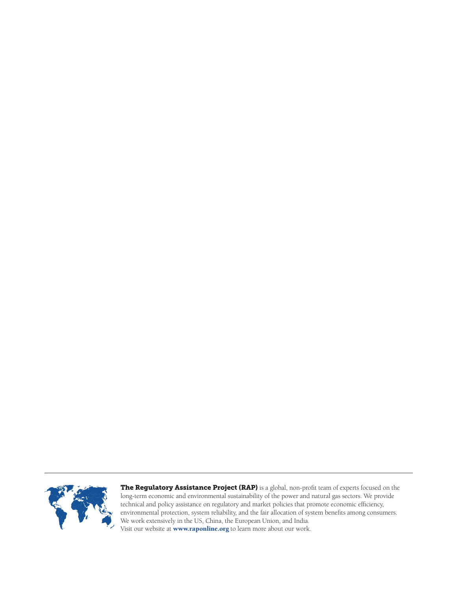

The Regulatory Assistance Project (RAP) is a global, non-profit team of experts focused on the long-term economic and environmental sustainability of the power and natural gas sectors. We provide technical and policy assistance on regulatory and market policies that promote economic efficiency, environmental protection, system reliability, and the fair allocation of system benefits among consumers. We work extensively in the US, China, the European Union, and India. Visit our website at **www.raponline.org** to learn more about our work.